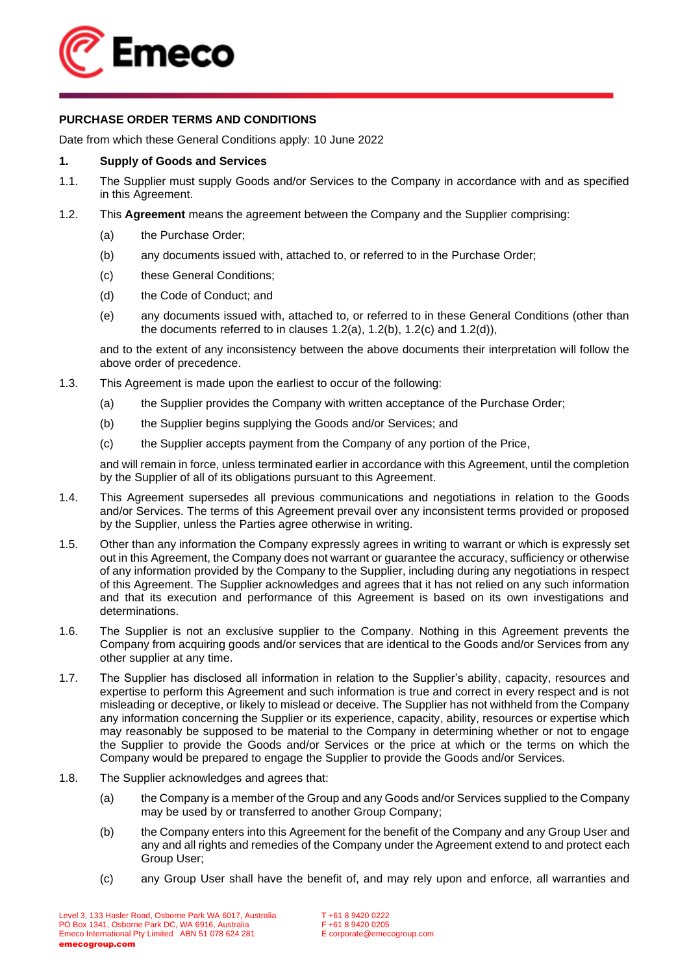

# **PURCHASE ORDER TERMS AND CONDITIONS**

Date from which these General Conditions apply: 10 June 2022

# **1. Supply of Goods and Services**

- <span id="page-0-4"></span>1.1. The Supplier must supply Goods and/or Services to the Company in accordance with and as specified in this Agreement.
- <span id="page-0-5"></span><span id="page-0-2"></span><span id="page-0-1"></span><span id="page-0-0"></span>1.2. This **Agreement** means the agreement between the Company and the Supplier comprising:
	- (a) the Purchase Order;
	- (b) any documents issued with, attached to, or referred to in the Purchase Order;
	- (c) these General Conditions;
	- (d) the Code of Conduct; and
	- (e) any documents issued with, attached to, or referred to in these General Conditions (other than the documents referred to in clauses [1.2\(a\),](#page-0-0) [1.2\(b\),](#page-0-1) [1.2\(c\)](#page-0-2) and [1.2\(d\)\)](#page-0-3),

<span id="page-0-3"></span>and to the extent of any inconsistency between the above documents their interpretation will follow the above order of precedence.

- 1.3. This Agreement is made upon the earliest to occur of the following:
	- (a) the Supplier provides the Company with written acceptance of the Purchase Order;
	- (b) the Supplier begins supplying the Goods and/or Services; and
	- (c) the Supplier accepts payment from the Company of any portion of the Price,

and will remain in force, unless terminated earlier in accordance with this Agreement, until the completion by the Supplier of all of its obligations pursuant to this Agreement.

- 1.4. This Agreement supersedes all previous communications and negotiations in relation to the Goods and/or Services. The terms of this Agreement prevail over any inconsistent terms provided or proposed by the Supplier, unless the Parties agree otherwise in writing.
- 1.5. Other than any information the Company expressly agrees in writing to warrant or which is expressly set out in this Agreement, the Company does not warrant or guarantee the accuracy, sufficiency or otherwise of any information provided by the Company to the Supplier, including during any negotiations in respect of this Agreement. The Supplier acknowledges and agrees that it has not relied on any such information and that its execution and performance of this Agreement is based on its own investigations and determinations.
- 1.6. The Supplier is not an exclusive supplier to the Company. Nothing in this Agreement prevents the Company from acquiring goods and/or services that are identical to the Goods and/or Services from any other supplier at any time.
- 1.7. The Supplier has disclosed all information in relation to the Supplier's ability, capacity, resources and expertise to perform this Agreement and such information is true and correct in every respect and is not misleading or deceptive, or likely to mislead or deceive. The Supplier has not withheld from the Company any information concerning the Supplier or its experience, capacity, ability, resources or expertise which may reasonably be supposed to be material to the Company in determining whether or not to engage the Supplier to provide the Goods and/or Services or the price at which or the terms on which the Company would be prepared to engage the Supplier to provide the Goods and/or Services.
- 1.8. The Supplier acknowledges and agrees that:
	- (a) the Company is a member of the Group and any Goods and/or Services supplied to the Company may be used by or transferred to another Group Company;
	- (b) the Company enters into this Agreement for the benefit of the Company and any Group User and any and all rights and remedies of the Company under the Agreement extend to and protect each Group User;
	- (c) any Group User shall have the benefit of, and may rely upon and enforce, all warranties and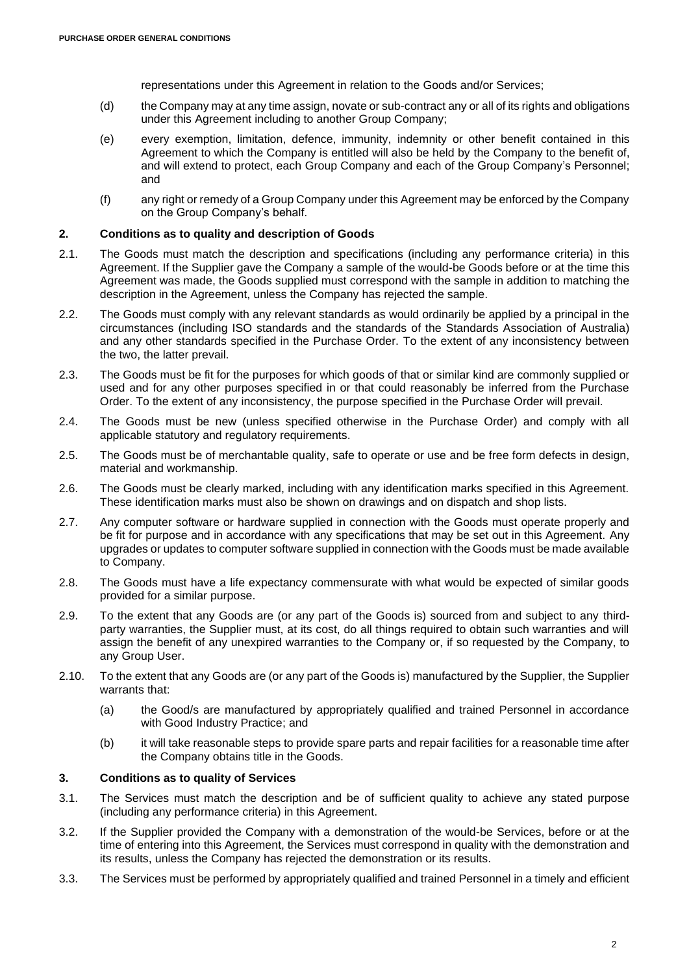representations under this Agreement in relation to the Goods and/or Services;

- (d) the Company may at any time assign, novate or sub-contract any or all of its rights and obligations under this Agreement including to another Group Company;
- (e) every exemption, limitation, defence, immunity, indemnity or other benefit contained in this Agreement to which the Company is entitled will also be held by the Company to the benefit of, and will extend to protect, each Group Company and each of the Group Company's Personnel; and
- (f) any right or remedy of a Group Company under this Agreement may be enforced by the Company on the Group Company's behalf.

### **2. Conditions as to quality and description of Goods**

- 2.1. The Goods must match the description and specifications (including any performance criteria) in this Agreement. If the Supplier gave the Company a sample of the would-be Goods before or at the time this Agreement was made, the Goods supplied must correspond with the sample in addition to matching the description in the Agreement, unless the Company has rejected the sample.
- 2.2. The Goods must comply with any relevant standards as would ordinarily be applied by a principal in the circumstances (including ISO standards and the standards of the Standards Association of Australia) and any other standards specified in the Purchase Order. To the extent of any inconsistency between the two, the latter prevail.
- 2.3. The Goods must be fit for the purposes for which goods of that or similar kind are commonly supplied or used and for any other purposes specified in or that could reasonably be inferred from the Purchase Order. To the extent of any inconsistency, the purpose specified in the Purchase Order will prevail.
- 2.4. The Goods must be new (unless specified otherwise in the Purchase Order) and comply with all applicable statutory and regulatory requirements.
- 2.5. The Goods must be of merchantable quality, safe to operate or use and be free form defects in design, material and workmanship.
- 2.6. The Goods must be clearly marked, including with any identification marks specified in this Agreement. These identification marks must also be shown on drawings and on dispatch and shop lists.
- 2.7. Any computer software or hardware supplied in connection with the Goods must operate properly and be fit for purpose and in accordance with any specifications that may be set out in this Agreement. Any upgrades or updates to computer software supplied in connection with the Goods must be made available to Company.
- 2.8. The Goods must have a life expectancy commensurate with what would be expected of similar goods provided for a similar purpose.
- 2.9. To the extent that any Goods are (or any part of the Goods is) sourced from and subject to any thirdparty warranties, the Supplier must, at its cost, do all things required to obtain such warranties and will assign the benefit of any unexpired warranties to the Company or, if so requested by the Company, to any Group User.
- 2.10. To the extent that any Goods are (or any part of the Goods is) manufactured by the Supplier, the Supplier warrants that:
	- (a) the Good/s are manufactured by appropriately qualified and trained Personnel in accordance with Good Industry Practice; and
	- (b) it will take reasonable steps to provide spare parts and repair facilities for a reasonable time after the Company obtains title in the Goods.

#### **3. Conditions as to quality of Services**

- 3.1. The Services must match the description and be of sufficient quality to achieve any stated purpose (including any performance criteria) in this Agreement.
- 3.2. If the Supplier provided the Company with a demonstration of the would-be Services, before or at the time of entering into this Agreement, the Services must correspond in quality with the demonstration and its results, unless the Company has rejected the demonstration or its results.
- 3.3. The Services must be performed by appropriately qualified and trained Personnel in a timely and efficient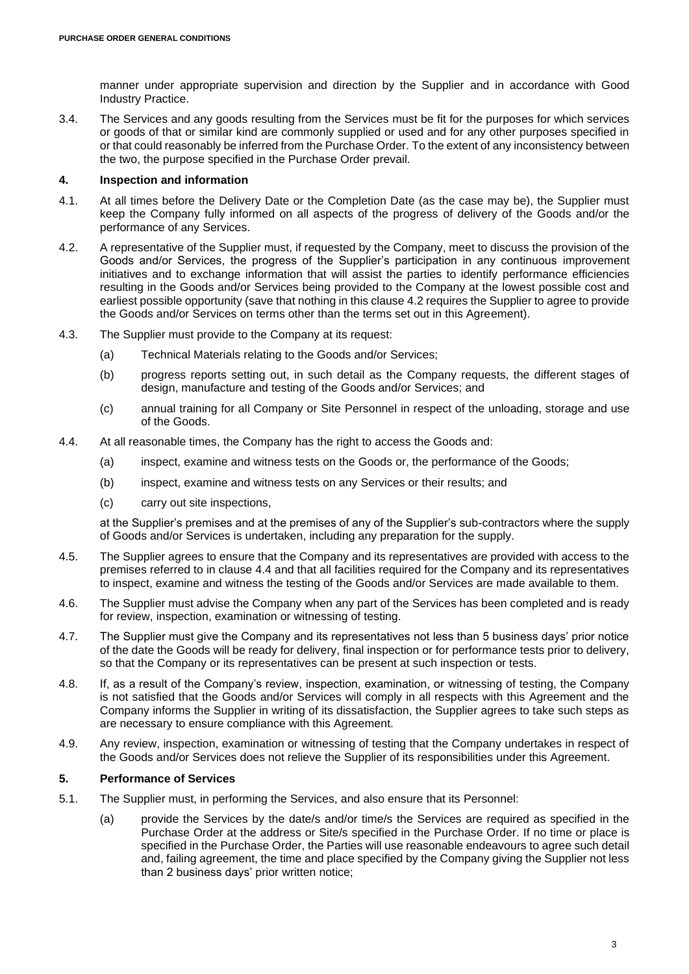manner under appropriate supervision and direction by the Supplier and in accordance with Good Industry Practice.

3.4. The Services and any goods resulting from the Services must be fit for the purposes for which services or goods of that or similar kind are commonly supplied or used and for any other purposes specified in or that could reasonably be inferred from the Purchase Order. To the extent of any inconsistency between the two, the purpose specified in the Purchase Order prevail.

### **4. Inspection and information**

- 4.1. At all times before the Delivery Date or the Completion Date (as the case may be), the Supplier must keep the Company fully informed on all aspects of the progress of delivery of the Goods and/or the performance of any Services.
- <span id="page-2-0"></span>4.2. A representative of the Supplier must, if requested by the Company, meet to discuss the provision of the Goods and/or Services, the progress of the Supplier's participation in any continuous improvement initiatives and to exchange information that will assist the parties to identify performance efficiencies resulting in the Goods and/or Services being provided to the Company at the lowest possible cost and earliest possible opportunity (save that nothing in this clause [4.2](#page-2-0) requires the Supplier to agree to provide the Goods and/or Services on terms other than the terms set out in this Agreement).
- 4.3. The Supplier must provide to the Company at its request:
	- (a) Technical Materials relating to the Goods and/or Services;
	- (b) progress reports setting out, in such detail as the Company requests, the different stages of design, manufacture and testing of the Goods and/or Services; and
	- (c) annual training for all Company or Site Personnel in respect of the unloading, storage and use of the Goods.
- <span id="page-2-1"></span>4.4. At all reasonable times, the Company has the right to access the Goods and:
	- (a) inspect, examine and witness tests on the Goods or, the performance of the Goods;
	- (b) inspect, examine and witness tests on any Services or their results; and
	- (c) carry out site inspections,

at the Supplier's premises and at the premises of any of the Supplier's sub-contractors where the supply of Goods and/or Services is undertaken, including any preparation for the supply.

- 4.5. The Supplier agrees to ensure that the Company and its representatives are provided with access to the premises referred to in clause [4.4](#page-2-1) and that all facilities required for the Company and its representatives to inspect, examine and witness the testing of the Goods and/or Services are made available to them.
- 4.6. The Supplier must advise the Company when any part of the Services has been completed and is ready for review, inspection, examination or witnessing of testing.
- 4.7. The Supplier must give the Company and its representatives not less than 5 business days' prior notice of the date the Goods will be ready for delivery, final inspection or for performance tests prior to delivery, so that the Company or its representatives can be present at such inspection or tests.
- 4.8. If, as a result of the Company's review, inspection, examination, or witnessing of testing, the Company is not satisfied that the Goods and/or Services will comply in all respects with this Agreement and the Company informs the Supplier in writing of its dissatisfaction, the Supplier agrees to take such steps as are necessary to ensure compliance with this Agreement.
- 4.9. Any review, inspection, examination or witnessing of testing that the Company undertakes in respect of the Goods and/or Services does not relieve the Supplier of its responsibilities under this Agreement.

# **5. Performance of Services**

- <span id="page-2-2"></span>5.1. The Supplier must, in performing the Services, and also ensure that its Personnel:
	- (a) provide the Services by the date/s and/or time/s the Services are required as specified in the Purchase Order at the address or Site/s specified in the Purchase Order. If no time or place is specified in the Purchase Order, the Parties will use reasonable endeavours to agree such detail and, failing agreement, the time and place specified by the Company giving the Supplier not less than 2 business days' prior written notice;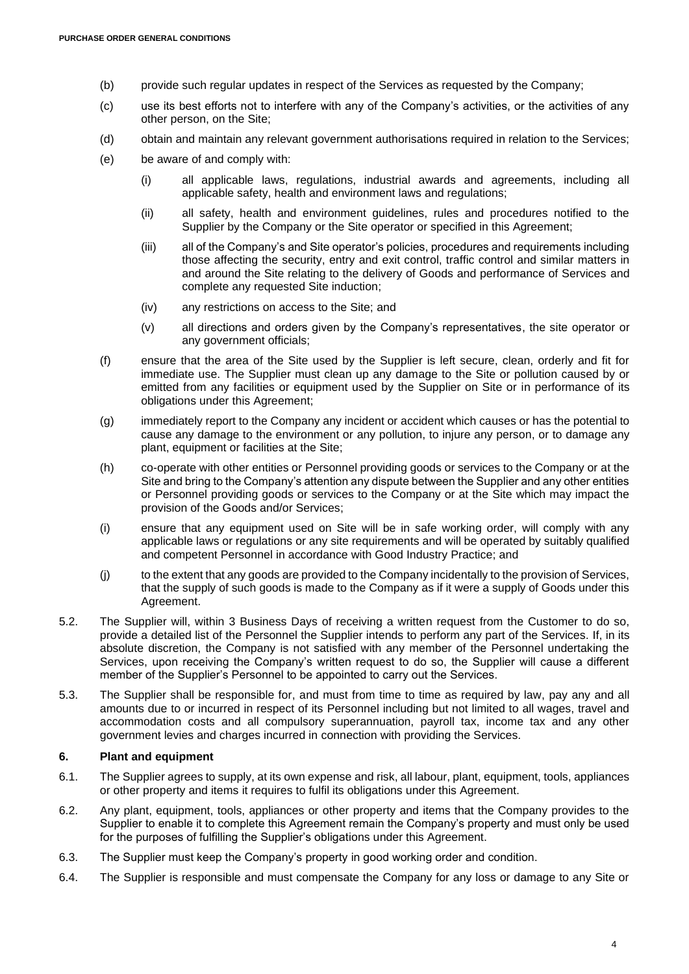- (b) provide such regular updates in respect of the Services as requested by the Company;
- (c) use its best efforts not to interfere with any of the Company's activities, or the activities of any other person, on the Site;
- (d) obtain and maintain any relevant government authorisations required in relation to the Services;
- (e) be aware of and comply with:
	- (i) all applicable laws, regulations, industrial awards and agreements, including all applicable safety, health and environment laws and regulations;
	- (ii) all safety, health and environment guidelines, rules and procedures notified to the Supplier by the Company or the Site operator or specified in this Agreement;
	- (iii) all of the Company's and Site operator's policies, procedures and requirements including those affecting the security, entry and exit control, traffic control and similar matters in and around the Site relating to the delivery of Goods and performance of Services and complete any requested Site induction;
	- (iv) any restrictions on access to the Site; and
	- (v) all directions and orders given by the Company's representatives, the site operator or any government officials;
- (f) ensure that the area of the Site used by the Supplier is left secure, clean, orderly and fit for immediate use. The Supplier must clean up any damage to the Site or pollution caused by or emitted from any facilities or equipment used by the Supplier on Site or in performance of its obligations under this Agreement;
- (g) immediately report to the Company any incident or accident which causes or has the potential to cause any damage to the environment or any pollution, to injure any person, or to damage any plant, equipment or facilities at the Site;
- (h) co-operate with other entities or Personnel providing goods or services to the Company or at the Site and bring to the Company's attention any dispute between the Supplier and any other entities or Personnel providing goods or services to the Company or at the Site which may impact the provision of the Goods and/or Services;
- (i) ensure that any equipment used on Site will be in safe working order, will comply with any applicable laws or regulations or any site requirements and will be operated by suitably qualified and competent Personnel in accordance with Good Industry Practice; and
- <span id="page-3-0"></span>(j) to the extent that any goods are provided to the Company incidentally to the provision of Services, that the supply of such goods is made to the Company as if it were a supply of Goods under this Agreement.
- 5.2. The Supplier will, within 3 Business Days of receiving a written request from the Customer to do so, provide a detailed list of the Personnel the Supplier intends to perform any part of the Services. If, in its absolute discretion, the Company is not satisfied with any member of the Personnel undertaking the Services, upon receiving the Company's written request to do so, the Supplier will cause a different member of the Supplier's Personnel to be appointed to carry out the Services.
- 5.3. The Supplier shall be responsible for, and must from time to time as required by law, pay any and all amounts due to or incurred in respect of its Personnel including but not limited to all wages, travel and accommodation costs and all compulsory superannuation, payroll tax, income tax and any other government levies and charges incurred in connection with providing the Services.

# **6. Plant and equipment**

- 6.1. The Supplier agrees to supply, at its own expense and risk, all labour, plant, equipment, tools, appliances or other property and items it requires to fulfil its obligations under this Agreement.
- 6.2. Any plant, equipment, tools, appliances or other property and items that the Company provides to the Supplier to enable it to complete this Agreement remain the Company's property and must only be used for the purposes of fulfilling the Supplier's obligations under this Agreement.
- 6.3. The Supplier must keep the Company's property in good working order and condition.
- 6.4. The Supplier is responsible and must compensate the Company for any loss or damage to any Site or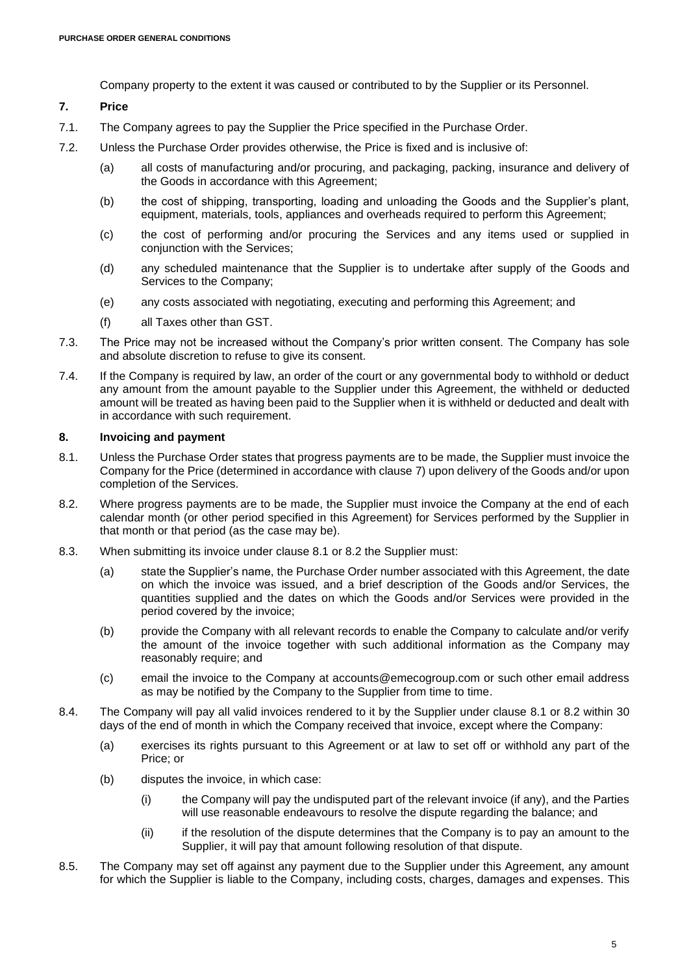Company property to the extent it was caused or contributed to by the Supplier or its Personnel.

### <span id="page-4-0"></span>**7. Price**

- 7.1. The Company agrees to pay the Supplier the Price specified in the Purchase Order.
- 7.2. Unless the Purchase Order provides otherwise, the Price is fixed and is inclusive of:
	- (a) all costs of manufacturing and/or procuring, and packaging, packing, insurance and delivery of the Goods in accordance with this Agreement;
	- (b) the cost of shipping, transporting, loading and unloading the Goods and the Supplier's plant, equipment, materials, tools, appliances and overheads required to perform this Agreement;
	- (c) the cost of performing and/or procuring the Services and any items used or supplied in conjunction with the Services;
	- (d) any scheduled maintenance that the Supplier is to undertake after supply of the Goods and Services to the Company;
	- (e) any costs associated with negotiating, executing and performing this Agreement; and
	- (f) all Taxes other than GST.
- 7.3. The Price may not be increased without the Company's prior written consent. The Company has sole and absolute discretion to refuse to give its consent.
- 7.4. If the Company is required by law, an order of the court or any governmental body to withhold or deduct any amount from the amount payable to the Supplier under this Agreement, the withheld or deducted amount will be treated as having been paid to the Supplier when it is withheld or deducted and dealt with in accordance with such requirement.

# **8. Invoicing and payment**

- <span id="page-4-1"></span>8.1. Unless the Purchase Order states that progress payments are to be made, the Supplier must invoice the Company for the Price (determined in accordance with clause [7\)](#page-4-0) upon delivery of the Goods and/or upon completion of the Services.
- <span id="page-4-2"></span>8.2. Where progress payments are to be made, the Supplier must invoice the Company at the end of each calendar month (or other period specified in this Agreement) for Services performed by the Supplier in that month or that period (as the case may be).
- 8.3. When submitting its invoice under clause 8.1 or 8.2 the Supplier must:
	- (a) state the Supplier's name, the Purchase Order number associated with this Agreement, the date on which the invoice was issued, and a brief description of the Goods and/or Services, the quantities supplied and the dates on which the Goods and/or Services were provided in the period covered by the invoice;
	- (b) provide the Company with all relevant records to enable the Company to calculate and/or verify the amount of the invoice together with such additional information as the Company may reasonably require; and
	- (c) email the invoice to the Company at accounts@emecogroup.com or such other email address as may be notified by the Company to the Supplier from time to time.
- 8.4. The Company will pay all valid invoices rendered to it by the Supplier under clause [8.1](#page-4-1) or [8.2](#page-4-2) within 30 days of the end of month in which the Company received that invoice, except where the Company:
	- (a) exercises its rights pursuant to this Agreement or at law to set off or withhold any part of the Price; or
	- (b) disputes the invoice, in which case:
		- (i) the Company will pay the undisputed part of the relevant invoice (if any), and the Parties will use reasonable endeavours to resolve the dispute regarding the balance; and
		- (ii) if the resolution of the dispute determines that the Company is to pay an amount to the Supplier, it will pay that amount following resolution of that dispute.
- <span id="page-4-3"></span>8.5. The Company may set off against any payment due to the Supplier under this Agreement, any amount for which the Supplier is liable to the Company, including costs, charges, damages and expenses. This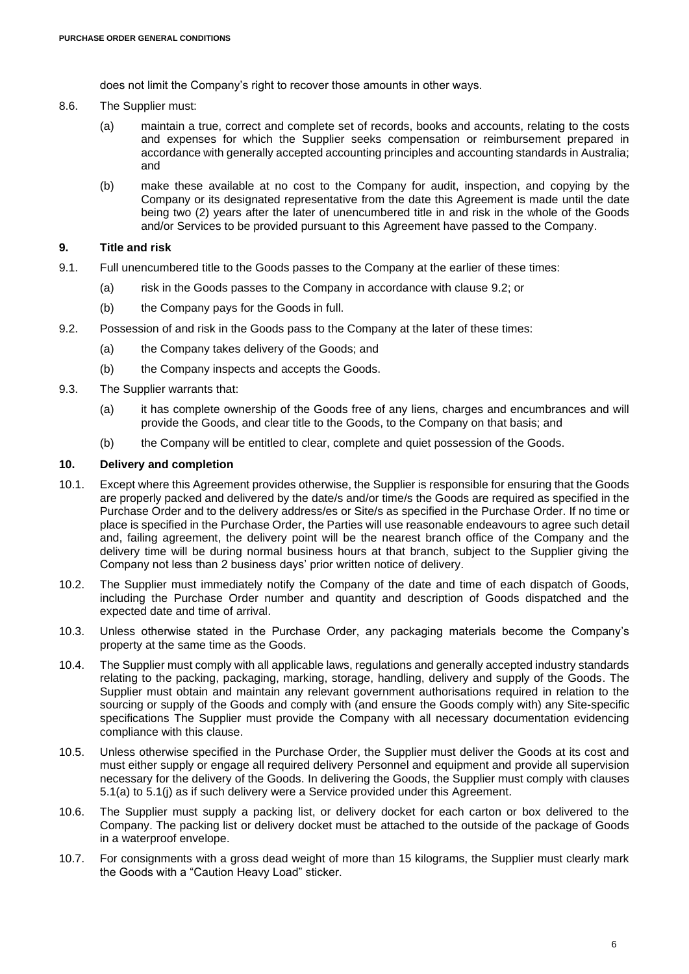does not limit the Company's right to recover those amounts in other ways.

- 8.6. The Supplier must:
	- (a) maintain a true, correct and complete set of records, books and accounts, relating to the costs and expenses for which the Supplier seeks compensation or reimbursement prepared in accordance with generally accepted accounting principles and accounting standards in Australia; and
	- (b) make these available at no cost to the Company for audit, inspection, and copying by the Company or its designated representative from the date this Agreement is made until the date being two (2) years after the later of unencumbered title in and risk in the whole of the Goods and/or Services to be provided pursuant to this Agreement have passed to the Company.

## **9. Title and risk**

- 9.1. Full unencumbered title to the Goods passes to the Company at the earlier of these times:
	- (a) risk in the Goods passes to the Company in accordance with clause [9.2;](#page-5-0) or
	- (b) the Company pays for the Goods in full.
- <span id="page-5-0"></span>9.2. Possession of and risk in the Goods pass to the Company at the later of these times:
	- (a) the Company takes delivery of the Goods; and
	- (b) the Company inspects and accepts the Goods.
- <span id="page-5-2"></span>9.3. The Supplier warrants that:
	- (a) it has complete ownership of the Goods free of any liens, charges and encumbrances and will provide the Goods, and clear title to the Goods, to the Company on that basis; and
	- (b) the Company will be entitled to clear, complete and quiet possession of the Goods.

#### <span id="page-5-1"></span>**10. Delivery and completion**

- 10.1. Except where this Agreement provides otherwise, the Supplier is responsible for ensuring that the Goods are properly packed and delivered by the date/s and/or time/s the Goods are required as specified in the Purchase Order and to the delivery address/es or Site/s as specified in the Purchase Order. If no time or place is specified in the Purchase Order, the Parties will use reasonable endeavours to agree such detail and, failing agreement, the delivery point will be the nearest branch office of the Company and the delivery time will be during normal business hours at that branch, subject to the Supplier giving the Company not less than 2 business days' prior written notice of delivery.
- 10.2. The Supplier must immediately notify the Company of the date and time of each dispatch of Goods, including the Purchase Order number and quantity and description of Goods dispatched and the expected date and time of arrival.
- 10.3. Unless otherwise stated in the Purchase Order, any packaging materials become the Company's property at the same time as the Goods.
- 10.4. The Supplier must comply with all applicable laws, regulations and generally accepted industry standards relating to the packing, packaging, marking, storage, handling, delivery and supply of the Goods. The Supplier must obtain and maintain any relevant government authorisations required in relation to the sourcing or supply of the Goods and comply with (and ensure the Goods comply with) any Site-specific specifications The Supplier must provide the Company with all necessary documentation evidencing compliance with this clause.
- 10.5. Unless otherwise specified in the Purchase Order, the Supplier must deliver the Goods at its cost and must either supply or engage all required delivery Personnel and equipment and provide all supervision necessary for the delivery of the Goods. In delivering the Goods, the Supplier must comply with clauses [5.1\(a\)](#page-2-2) to [5.1\(j\)](#page-3-0) as if such delivery were a Service provided under this Agreement.
- 10.6. The Supplier must supply a packing list, or delivery docket for each carton or box delivered to the Company. The packing list or delivery docket must be attached to the outside of the package of Goods in a waterproof envelope.
- 10.7. For consignments with a gross dead weight of more than 15 kilograms, the Supplier must clearly mark the Goods with a "Caution Heavy Load" sticker.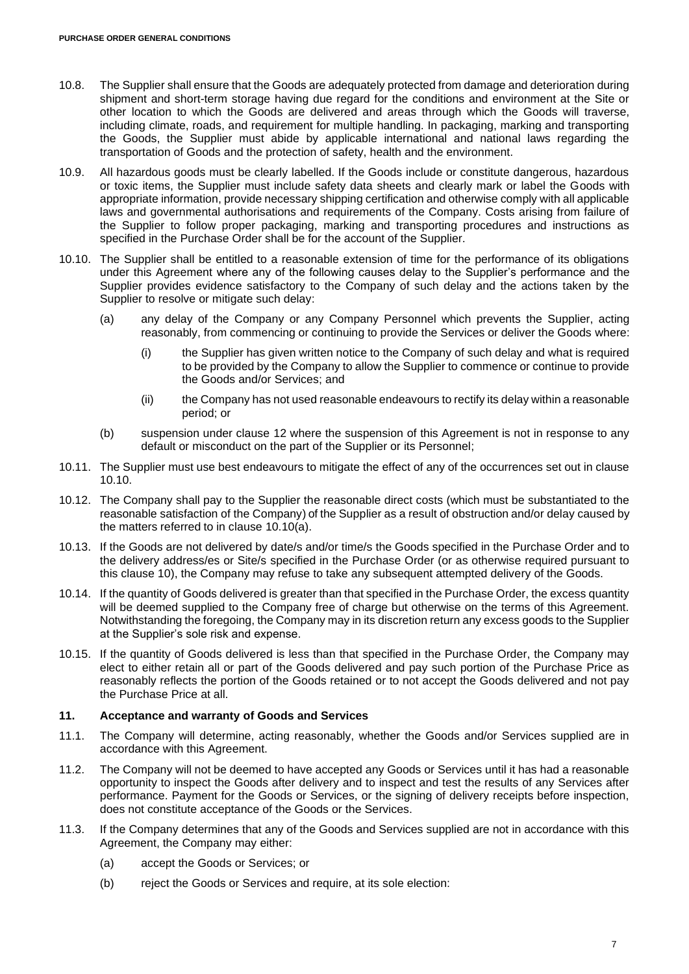- 10.8. The Supplier shall ensure that the Goods are adequately protected from damage and deterioration during shipment and short-term storage having due regard for the conditions and environment at the Site or other location to which the Goods are delivered and areas through which the Goods will traverse, including climate, roads, and requirement for multiple handling. In packaging, marking and transporting the Goods, the Supplier must abide by applicable international and national laws regarding the transportation of Goods and the protection of safety, health and the environment.
- 10.9. All hazardous goods must be clearly labelled. If the Goods include or constitute dangerous, hazardous or toxic items, the Supplier must include safety data sheets and clearly mark or label the Goods with appropriate information, provide necessary shipping certification and otherwise comply with all applicable laws and governmental authorisations and requirements of the Company. Costs arising from failure of the Supplier to follow proper packaging, marking and transporting procedures and instructions as specified in the Purchase Order shall be for the account of the Supplier.
- <span id="page-6-1"></span><span id="page-6-0"></span>10.10. The Supplier shall be entitled to a reasonable extension of time for the performance of its obligations under this Agreement where any of the following causes delay to the Supplier's performance and the Supplier provides evidence satisfactory to the Company of such delay and the actions taken by the Supplier to resolve or mitigate such delay:
	- (a) any delay of the Company or any Company Personnel which prevents the Supplier, acting reasonably, from commencing or continuing to provide the Services or deliver the Goods where:
		- (i) the Supplier has given written notice to the Company of such delay and what is required to be provided by the Company to allow the Supplier to commence or continue to provide the Goods and/or Services; and
		- (ii) the Company has not used reasonable endeavours to rectify its delay within a reasonable period; or
	- (b) suspension under clause [12](#page-7-0) where the suspension of this Agreement is not in response to any default or misconduct on the part of the Supplier or its Personnel;
- 10.11. The Supplier must use best endeavours to mitigate the effect of any of the occurrences set out in clause [10.10.](#page-6-0)
- 10.12. The Company shall pay to the Supplier the reasonable direct costs (which must be substantiated to the reasonable satisfaction of the Company) of the Supplier as a result of obstruction and/or delay caused by the matters referred to in clause [10.10\(a\).](#page-6-1)
- 10.13. If the Goods are not delivered by date/s and/or time/s the Goods specified in the Purchase Order and to the delivery address/es or Site/s specified in the Purchase Order (or as otherwise required pursuant to this clause [10\)](#page-5-1), the Company may refuse to take any subsequent attempted delivery of the Goods.
- 10.14. If the quantity of Goods delivered is greater than that specified in the Purchase Order, the excess quantity will be deemed supplied to the Company free of charge but otherwise on the terms of this Agreement. Notwithstanding the foregoing, the Company may in its discretion return any excess goods to the Supplier at the Supplier's sole risk and expense.
- 10.15. If the quantity of Goods delivered is less than that specified in the Purchase Order, the Company may elect to either retain all or part of the Goods delivered and pay such portion of the Purchase Price as reasonably reflects the portion of the Goods retained or to not accept the Goods delivered and not pay the Purchase Price at all.

# <span id="page-6-2"></span>**11. Acceptance and warranty of Goods and Services**

- 11.1. The Company will determine, acting reasonably, whether the Goods and/or Services supplied are in accordance with this Agreement.
- 11.2. The Company will not be deemed to have accepted any Goods or Services until it has had a reasonable opportunity to inspect the Goods after delivery and to inspect and test the results of any Services after performance. Payment for the Goods or Services, or the signing of delivery receipts before inspection, does not constitute acceptance of the Goods or the Services.
- 11.3. If the Company determines that any of the Goods and Services supplied are not in accordance with this Agreement, the Company may either:
	- (a) accept the Goods or Services; or
	- (b) reject the Goods or Services and require, at its sole election: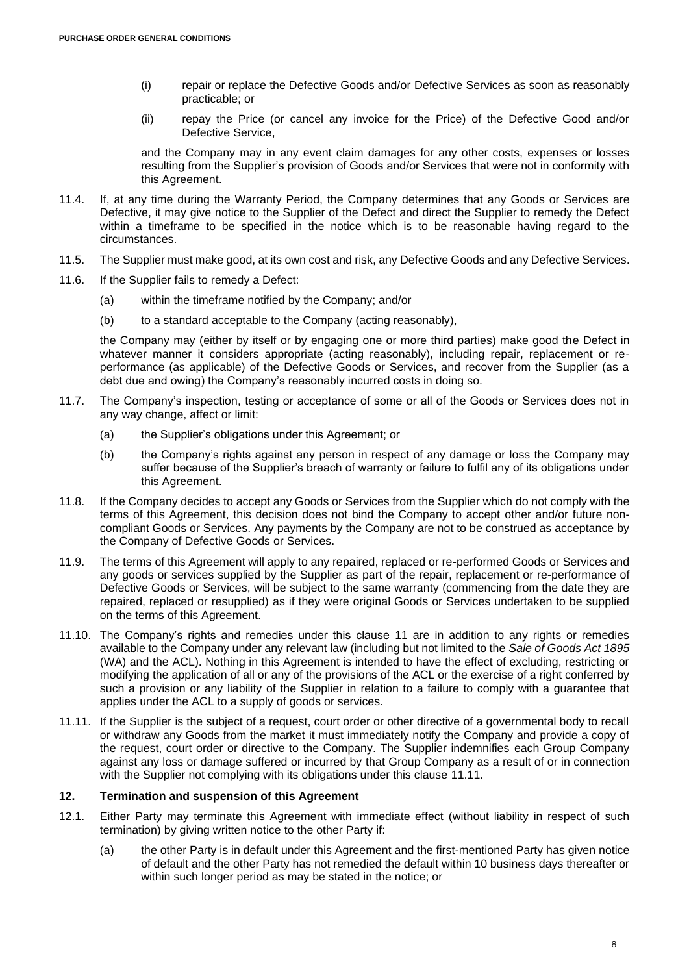- (i) repair or replace the Defective Goods and/or Defective Services as soon as reasonably practicable; or
- (ii) repay the Price (or cancel any invoice for the Price) of the Defective Good and/or Defective Service,

and the Company may in any event claim damages for any other costs, expenses or losses resulting from the Supplier's provision of Goods and/or Services that were not in conformity with this Agreement.

- 11.4. If, at any time during the Warranty Period, the Company determines that any Goods or Services are Defective, it may give notice to the Supplier of the Defect and direct the Supplier to remedy the Defect within a timeframe to be specified in the notice which is to be reasonable having regard to the circumstances.
- 11.5. The Supplier must make good, at its own cost and risk, any Defective Goods and any Defective Services.
- 11.6. If the Supplier fails to remedy a Defect:
	- (a) within the timeframe notified by the Company; and/or
	- (b) to a standard acceptable to the Company (acting reasonably),

the Company may (either by itself or by engaging one or more third parties) make good the Defect in whatever manner it considers appropriate (acting reasonably), including repair, replacement or reperformance (as applicable) of the Defective Goods or Services, and recover from the Supplier (as a debt due and owing) the Company's reasonably incurred costs in doing so.

- 11.7. The Company's inspection, testing or acceptance of some or all of the Goods or Services does not in any way change, affect or limit:
	- (a) the Supplier's obligations under this Agreement; or
	- (b) the Company's rights against any person in respect of any damage or loss the Company may suffer because of the Supplier's breach of warranty or failure to fulfil any of its obligations under this Agreement.
- 11.8. If the Company decides to accept any Goods or Services from the Supplier which do not comply with the terms of this Agreement, this decision does not bind the Company to accept other and/or future noncompliant Goods or Services. Any payments by the Company are not to be construed as acceptance by the Company of Defective Goods or Services.
- 11.9. The terms of this Agreement will apply to any repaired, replaced or re-performed Goods or Services and any goods or services supplied by the Supplier as part of the repair, replacement or re-performance of Defective Goods or Services, will be subject to the same warranty (commencing from the date they are repaired, replaced or resupplied) as if they were original Goods or Services undertaken to be supplied on the terms of this Agreement.
- 11.10. The Company's rights and remedies under this clause [11](#page-6-2) are in addition to any rights or remedies available to the Company under any relevant law (including but not limited to the *Sale of Goods Act 1895* (WA) and the ACL). Nothing in this Agreement is intended to have the effect of excluding, restricting or modifying the application of all or any of the provisions of the ACL or the exercise of a right conferred by such a provision or any liability of the Supplier in relation to a failure to comply with a guarantee that applies under the ACL to a supply of goods or services.
- <span id="page-7-1"></span>11.11. If the Supplier is the subject of a request, court order or other directive of a governmental body to recall or withdraw any Goods from the market it must immediately notify the Company and provide a copy of the request, court order or directive to the Company. The Supplier indemnifies each Group Company against any loss or damage suffered or incurred by that Group Company as a result of or in connection with the Supplier not complying with its obligations under this clause [11.11.](#page-7-1)

### <span id="page-7-0"></span>**12. Termination and suspension of this Agreement**

- <span id="page-7-2"></span>12.1. Either Party may terminate this Agreement with immediate effect (without liability in respect of such termination) by giving written notice to the other Party if:
	- (a) the other Party is in default under this Agreement and the first-mentioned Party has given notice of default and the other Party has not remedied the default within 10 business days thereafter or within such longer period as may be stated in the notice; or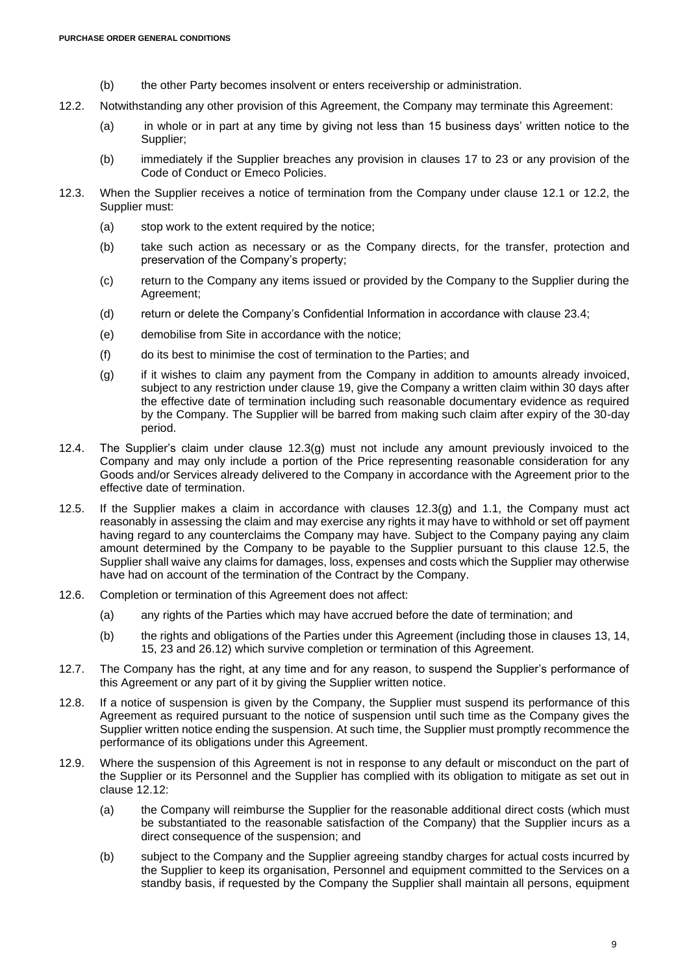- (b) the other Party becomes insolvent or enters receivership or administration.
- <span id="page-8-0"></span>12.2. Notwithstanding any other provision of this Agreement, the Company may terminate this Agreement:
	- (a) in whole or in part at any time by giving not less than 15 business days' written notice to the Supplier;
	- (b) immediately if the Supplier breaches any provision in clauses [17](#page-13-0) to [23](#page-15-0) or any provision of the Code of Conduct or Emeco Policies.
- 12.3. When the Supplier receives a notice of termination from the Company under clause [12.1](#page-7-2) or [12.2,](#page-8-0) the Supplier must:
	- (a) stop work to the extent required by the notice;
	- (b) take such action as necessary or as the Company directs, for the transfer, protection and preservation of the Company's property;
	- (c) return to the Company any items issued or provided by the Company to the Supplier during the Agreement;
	- (d) return or delete the Company's Confidential Information in accordance with clause [23.4;](#page-15-1)
	- (e) demobilise from Site in accordance with the notice;
	- (f) do its best to minimise the cost of termination to the Parties; and
	- (g) if it wishes to claim any payment from the Company in addition to amounts already invoiced, subject to any restriction under clause [19,](#page-13-1) give the Company a written claim within 30 days after the effective date of termination including such reasonable documentary evidence as required by the Company. The Supplier will be barred from making such claim after expiry of the 30-day period.
- <span id="page-8-1"></span>12.4. The Supplier's claim under clause [12.3\(g\)](#page-8-1) must not include any amount previously invoiced to the Company and may only include a portion of the Price representing reasonable consideration for any Goods and/or Services already delivered to the Company in accordance with the Agreement prior to the effective date of termination.
- <span id="page-8-2"></span>12.5. If the Supplier makes a claim in accordance with clauses [12.3\(g\)](#page-8-1) and [1.1,](#page-0-4) the Company must act reasonably in assessing the claim and may exercise any rights it may have to withhold or set off payment having regard to any counterclaims the Company may have. Subject to the Company paying any claim amount determined by the Company to be payable to the Supplier pursuant to this clause [12.5,](#page-8-2) the Supplier shall waive any claims for damages, loss, expenses and costs which the Supplier may otherwise have had on account of the termination of the Contract by the Company.
- 12.6. Completion or termination of this Agreement does not affect:
	- (a) any rights of the Parties which may have accrued before the date of termination; and
	- (b) the rights and obligations of the Parties under this Agreement (including those in clauses [13,](#page-9-0) [14,](#page-10-0) [15,](#page-11-0) [23](#page-15-0) and [26.12\)](#page-17-0) which survive completion or termination of this Agreement.
- 12.7. The Company has the right, at any time and for any reason, to suspend the Supplier's performance of this Agreement or any part of it by giving the Supplier written notice.
- 12.8. If a notice of suspension is given by the Company, the Supplier must suspend its performance of this Agreement as required pursuant to the notice of suspension until such time as the Company gives the Supplier written notice ending the suspension. At such time, the Supplier must promptly recommence the performance of its obligations under this Agreement.
- 12.9. Where the suspension of this Agreement is not in response to any default or misconduct on the part of the Supplier or its Personnel and the Supplier has complied with its obligation to mitigate as set out in clause [12.12:](#page-9-1)
	- (a) the Company will reimburse the Supplier for the reasonable additional direct costs (which must be substantiated to the reasonable satisfaction of the Company) that the Supplier incurs as a direct consequence of the suspension; and
	- (b) subject to the Company and the Supplier agreeing standby charges for actual costs incurred by the Supplier to keep its organisation, Personnel and equipment committed to the Services on a standby basis, if requested by the Company the Supplier shall maintain all persons, equipment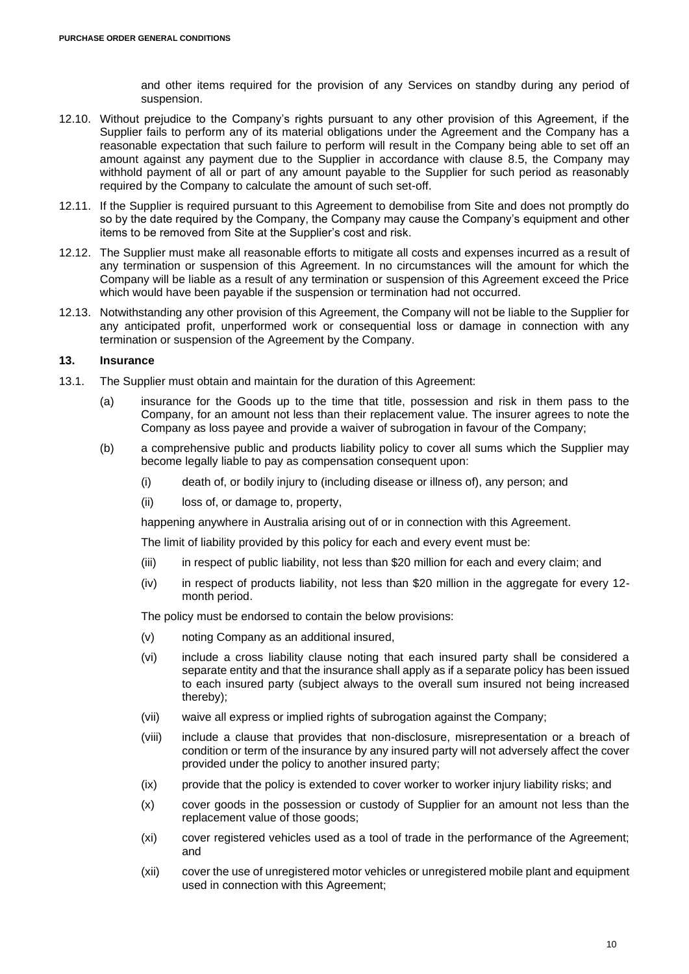and other items required for the provision of any Services on standby during any period of suspension.

- 12.10. Without prejudice to the Company's rights pursuant to any other provision of this Agreement, if the Supplier fails to perform any of its material obligations under the Agreement and the Company has a reasonable expectation that such failure to perform will result in the Company being able to set off an amount against any payment due to the Supplier in accordance with clause [8.5,](#page-4-3) the Company may withhold payment of all or part of any amount payable to the Supplier for such period as reasonably required by the Company to calculate the amount of such set-off.
- 12.11. If the Supplier is required pursuant to this Agreement to demobilise from Site and does not promptly do so by the date required by the Company, the Company may cause the Company's equipment and other items to be removed from Site at the Supplier's cost and risk.
- <span id="page-9-1"></span>12.12. The Supplier must make all reasonable efforts to mitigate all costs and expenses incurred as a result of any termination or suspension of this Agreement. In no circumstances will the amount for which the Company will be liable as a result of any termination or suspension of this Agreement exceed the Price which would have been payable if the suspension or termination had not occurred.
- 12.13. Notwithstanding any other provision of this Agreement, the Company will not be liable to the Supplier for any anticipated profit, unperformed work or consequential loss or damage in connection with any termination or suspension of the Agreement by the Company.

#### <span id="page-9-0"></span>**13. Insurance**

- 13.1. The Supplier must obtain and maintain for the duration of this Agreement:
	- (a) insurance for the Goods up to the time that title, possession and risk in them pass to the Company, for an amount not less than their replacement value. The insurer agrees to note the Company as loss payee and provide a waiver of subrogation in favour of the Company;
	- (b) a comprehensive public and products liability policy to cover all sums which the Supplier may become legally liable to pay as compensation consequent upon:
		- (i) death of, or bodily injury to (including disease or illness of), any person; and
		- (ii) loss of, or damage to, property,

happening anywhere in Australia arising out of or in connection with this Agreement.

The limit of liability provided by this policy for each and every event must be:

- (iii) in respect of public liability, not less than \$20 million for each and every claim; and
- (iv) in respect of products liability, not less than \$20 million in the aggregate for every 12 month period.

The policy must be endorsed to contain the below provisions:

- (v) noting Company as an additional insured,
- (vi) include a cross liability clause noting that each insured party shall be considered a separate entity and that the insurance shall apply as if a separate policy has been issued to each insured party (subject always to the overall sum insured not being increased thereby);
- (vii) waive all express or implied rights of subrogation against the Company;
- (viii) include a clause that provides that non-disclosure, misrepresentation or a breach of condition or term of the insurance by any insured party will not adversely affect the cover provided under the policy to another insured party;
- (ix) provide that the policy is extended to cover worker to worker injury liability risks; and
- (x) cover goods in the possession or custody of Supplier for an amount not less than the replacement value of those goods;
- (xi) cover registered vehicles used as a tool of trade in the performance of the Agreement; and
- (xii) cover the use of unregistered motor vehicles or unregistered mobile plant and equipment used in connection with this Agreement;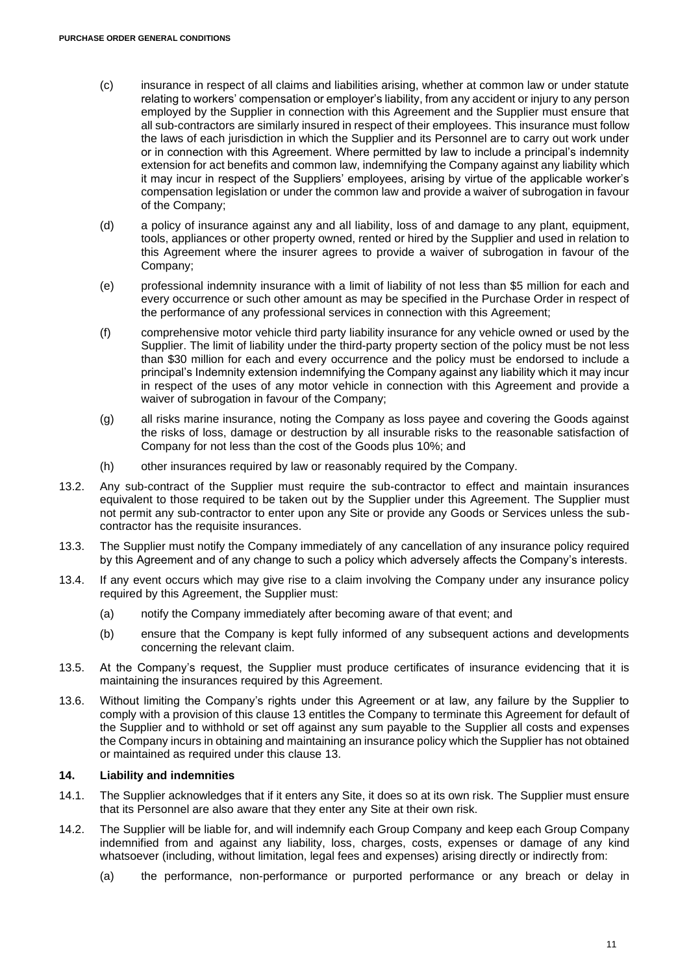- (c) insurance in respect of all claims and liabilities arising, whether at common law or under statute relating to workers' compensation or employer's liability, from any accident or injury to any person employed by the Supplier in connection with this Agreement and the Supplier must ensure that all sub-contractors are similarly insured in respect of their employees. This insurance must follow the laws of each jurisdiction in which the Supplier and its Personnel are to carry out work under or in connection with this Agreement. Where permitted by law to include a principal's indemnity extension for act benefits and common law, indemnifying the Company against any liability which it may incur in respect of the Suppliers' employees, arising by virtue of the applicable worker's compensation legislation or under the common law and provide a waiver of subrogation in favour of the Company;
- (d) a policy of insurance against any and all liability, loss of and damage to any plant, equipment, tools, appliances or other property owned, rented or hired by the Supplier and used in relation to this Agreement where the insurer agrees to provide a waiver of subrogation in favour of the Company;
- (e) professional indemnity insurance with a limit of liability of not less than \$5 million for each and every occurrence or such other amount as may be specified in the Purchase Order in respect of the performance of any professional services in connection with this Agreement;
- (f) comprehensive motor vehicle third party liability insurance for any vehicle owned or used by the Supplier. The limit of liability under the third-party property section of the policy must be not less than \$30 million for each and every occurrence and the policy must be endorsed to include a principal's Indemnity extension indemnifying the Company against any liability which it may incur in respect of the uses of any motor vehicle in connection with this Agreement and provide a waiver of subrogation in favour of the Company;
- (g) all risks marine insurance, noting the Company as loss payee and covering the Goods against the risks of loss, damage or destruction by all insurable risks to the reasonable satisfaction of Company for not less than the cost of the Goods plus 10%; and
- (h) other insurances required by law or reasonably required by the Company.
- 13.2. Any sub-contract of the Supplier must require the sub-contractor to effect and maintain insurances equivalent to those required to be taken out by the Supplier under this Agreement. The Supplier must not permit any sub-contractor to enter upon any Site or provide any Goods or Services unless the subcontractor has the requisite insurances.
- 13.3. The Supplier must notify the Company immediately of any cancellation of any insurance policy required by this Agreement and of any change to such a policy which adversely affects the Company's interests.
- 13.4. If any event occurs which may give rise to a claim involving the Company under any insurance policy required by this Agreement, the Supplier must:
	- (a) notify the Company immediately after becoming aware of that event; and
	- (b) ensure that the Company is kept fully informed of any subsequent actions and developments concerning the relevant claim.
- 13.5. At the Company's request, the Supplier must produce certificates of insurance evidencing that it is maintaining the insurances required by this Agreement.
- 13.6. Without limiting the Company's rights under this Agreement or at law, any failure by the Supplier to comply with a provision of this clause [13](#page-9-0) entitles the Company to terminate this Agreement for default of the Supplier and to withhold or set off against any sum payable to the Supplier all costs and expenses the Company incurs in obtaining and maintaining an insurance policy which the Supplier has not obtained or maintained as required under this clause [13.](#page-9-0)

#### <span id="page-10-0"></span>**14. Liability and indemnities**

- 14.1. The Supplier acknowledges that if it enters any Site, it does so at its own risk. The Supplier must ensure that its Personnel are also aware that they enter any Site at their own risk.
- 14.2. The Supplier will be liable for, and will indemnify each Group Company and keep each Group Company indemnified from and against any liability, loss, charges, costs, expenses or damage of any kind whatsoever (including, without limitation, legal fees and expenses) arising directly or indirectly from:
	- (a) the performance, non-performance or purported performance or any breach or delay in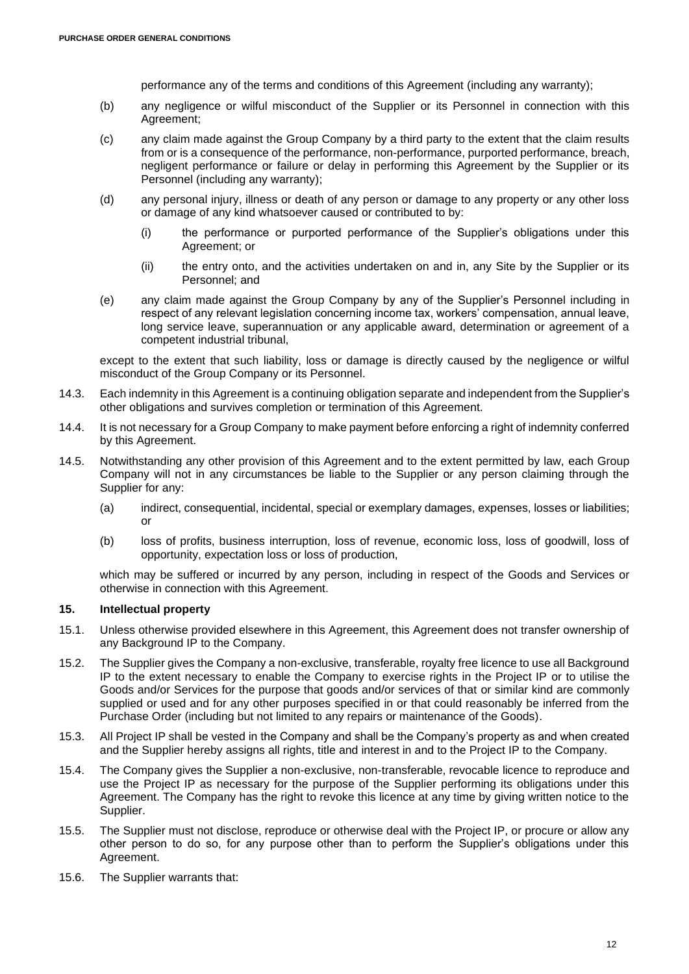performance any of the terms and conditions of this Agreement (including any warranty);

- (b) any negligence or wilful misconduct of the Supplier or its Personnel in connection with this Agreement;
- (c) any claim made against the Group Company by a third party to the extent that the claim results from or is a consequence of the performance, non-performance, purported performance, breach, negligent performance or failure or delay in performing this Agreement by the Supplier or its Personnel (including any warranty);
- (d) any personal injury, illness or death of any person or damage to any property or any other loss or damage of any kind whatsoever caused or contributed to by:
	- (i) the performance or purported performance of the Supplier's obligations under this Agreement; or
	- (ii) the entry onto, and the activities undertaken on and in, any Site by the Supplier or its Personnel; and
- (e) any claim made against the Group Company by any of the Supplier's Personnel including in respect of any relevant legislation concerning income tax, workers' compensation, annual leave, long service leave, superannuation or any applicable award, determination or agreement of a competent industrial tribunal,

except to the extent that such liability, loss or damage is directly caused by the negligence or wilful misconduct of the Group Company or its Personnel.

- 14.3. Each indemnity in this Agreement is a continuing obligation separate and independent from the Supplier's other obligations and survives completion or termination of this Agreement.
- 14.4. It is not necessary for a Group Company to make payment before enforcing a right of indemnity conferred by this Agreement.
- 14.5. Notwithstanding any other provision of this Agreement and to the extent permitted by law, each Group Company will not in any circumstances be liable to the Supplier or any person claiming through the Supplier for any:
	- (a) indirect, consequential, incidental, special or exemplary damages, expenses, losses or liabilities; or
	- (b) loss of profits, business interruption, loss of revenue, economic loss, loss of goodwill, loss of opportunity, expectation loss or loss of production,

which may be suffered or incurred by any person, including in respect of the Goods and Services or otherwise in connection with this Agreement.

# <span id="page-11-0"></span>**15. Intellectual property**

- 15.1. Unless otherwise provided elsewhere in this Agreement, this Agreement does not transfer ownership of any Background IP to the Company.
- 15.2. The Supplier gives the Company a non-exclusive, transferable, royalty free licence to use all Background IP to the extent necessary to enable the Company to exercise rights in the Project IP or to utilise the Goods and/or Services for the purpose that goods and/or services of that or similar kind are commonly supplied or used and for any other purposes specified in or that could reasonably be inferred from the Purchase Order (including but not limited to any repairs or maintenance of the Goods).
- <span id="page-11-1"></span>15.3. All Project IP shall be vested in the Company and shall be the Company's property as and when created and the Supplier hereby assigns all rights, title and interest in and to the Project IP to the Company.
- 15.4. The Company gives the Supplier a non-exclusive, non-transferable, revocable licence to reproduce and use the Project IP as necessary for the purpose of the Supplier performing its obligations under this Agreement. The Company has the right to revoke this licence at any time by giving written notice to the Supplier.
- 15.5. The Supplier must not disclose, reproduce or otherwise deal with the Project IP, or procure or allow any other person to do so, for any purpose other than to perform the Supplier's obligations under this Agreement.
- 15.6. The Supplier warrants that: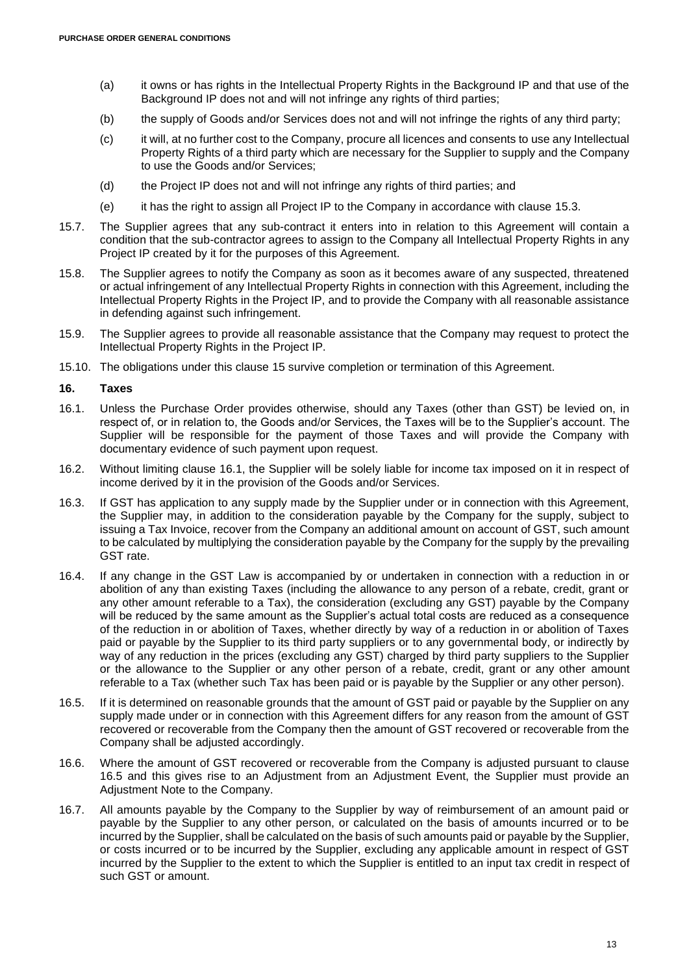- (a) it owns or has rights in the Intellectual Property Rights in the Background IP and that use of the Background IP does not and will not infringe any rights of third parties;
- (b) the supply of Goods and/or Services does not and will not infringe the rights of any third party;
- (c) it will, at no further cost to the Company, procure all licences and consents to use any Intellectual Property Rights of a third party which are necessary for the Supplier to supply and the Company to use the Goods and/or Services;
- (d) the Project IP does not and will not infringe any rights of third parties; and
- (e) it has the right to assign all Project IP to the Company in accordance with clause [15.3.](#page-11-1)
- 15.7. The Supplier agrees that any sub-contract it enters into in relation to this Agreement will contain a condition that the sub-contractor agrees to assign to the Company all Intellectual Property Rights in any Project IP created by it for the purposes of this Agreement.
- 15.8. The Supplier agrees to notify the Company as soon as it becomes aware of any suspected, threatened or actual infringement of any Intellectual Property Rights in connection with this Agreement, including the Intellectual Property Rights in the Project IP, and to provide the Company with all reasonable assistance in defending against such infringement.
- 15.9. The Supplier agrees to provide all reasonable assistance that the Company may request to protect the Intellectual Property Rights in the Project IP.
- 15.10. The obligations under this clause [15](#page-11-0) survive completion or termination of this Agreement.

#### **16. Taxes**

- <span id="page-12-0"></span>16.1. Unless the Purchase Order provides otherwise, should any Taxes (other than GST) be levied on, in respect of, or in relation to, the Goods and/or Services, the Taxes will be to the Supplier's account. The Supplier will be responsible for the payment of those Taxes and will provide the Company with documentary evidence of such payment upon request.
- 16.2. Without limiting clause [16.1,](#page-12-0) the Supplier will be solely liable for income tax imposed on it in respect of income derived by it in the provision of the Goods and/or Services.
- 16.3. If GST has application to any supply made by the Supplier under or in connection with this Agreement, the Supplier may, in addition to the consideration payable by the Company for the supply, subject to issuing a Tax Invoice, recover from the Company an additional amount on account of GST, such amount to be calculated by multiplying the consideration payable by the Company for the supply by the prevailing GST rate.
- 16.4. If any change in the GST Law is accompanied by or undertaken in connection with a reduction in or abolition of any than existing Taxes (including the allowance to any person of a rebate, credit, grant or any other amount referable to a Tax), the consideration (excluding any GST) payable by the Company will be reduced by the same amount as the Supplier's actual total costs are reduced as a consequence of the reduction in or abolition of Taxes, whether directly by way of a reduction in or abolition of Taxes paid or payable by the Supplier to its third party suppliers or to any governmental body, or indirectly by way of any reduction in the prices (excluding any GST) charged by third party suppliers to the Supplier or the allowance to the Supplier or any other person of a rebate, credit, grant or any other amount referable to a Tax (whether such Tax has been paid or is payable by the Supplier or any other person).
- <span id="page-12-1"></span>16.5. If it is determined on reasonable grounds that the amount of GST paid or payable by the Supplier on any supply made under or in connection with this Agreement differs for any reason from the amount of GST recovered or recoverable from the Company then the amount of GST recovered or recoverable from the Company shall be adjusted accordingly.
- 16.6. Where the amount of GST recovered or recoverable from the Company is adjusted pursuant to clause [16.5](#page-12-1) and this gives rise to an Adjustment from an Adjustment Event, the Supplier must provide an Adjustment Note to the Company.
- 16.7. All amounts payable by the Company to the Supplier by way of reimbursement of an amount paid or payable by the Supplier to any other person, or calculated on the basis of amounts incurred or to be incurred by the Supplier, shall be calculated on the basis of such amounts paid or payable by the Supplier, or costs incurred or to be incurred by the Supplier, excluding any applicable amount in respect of GST incurred by the Supplier to the extent to which the Supplier is entitled to an input tax credit in respect of such GST or amount.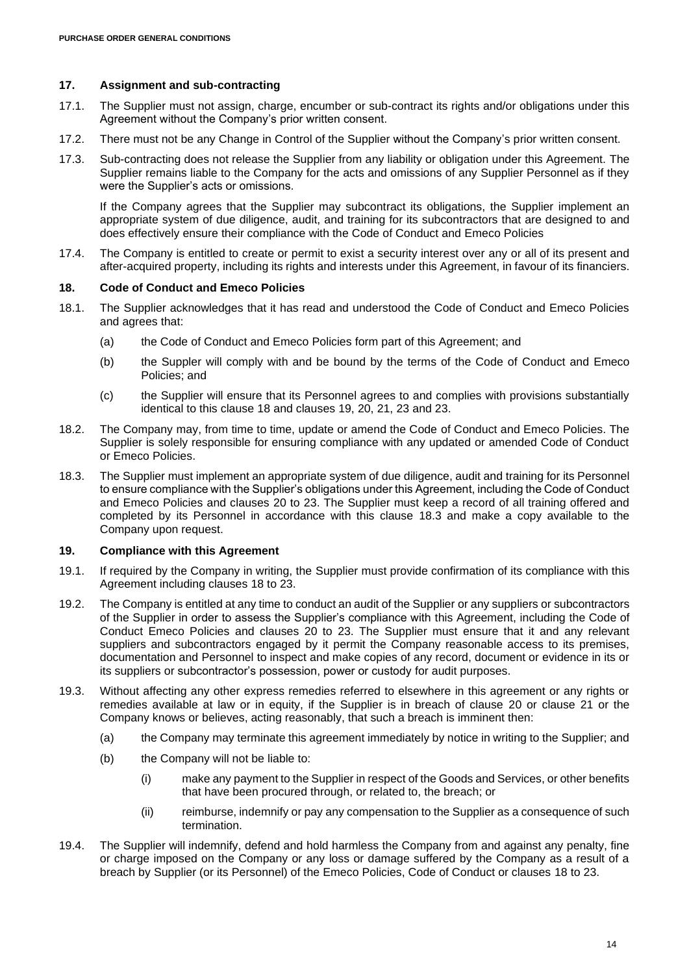### <span id="page-13-0"></span>**17. Assignment and sub-contracting**

- 17.1. The Supplier must not assign, charge, encumber or sub-contract its rights and/or obligations under this Agreement without the Company's prior written consent.
- 17.2. There must not be any Change in Control of the Supplier without the Company's prior written consent.
- 17.3. Sub-contracting does not release the Supplier from any liability or obligation under this Agreement. The Supplier remains liable to the Company for the acts and omissions of any Supplier Personnel as if they were the Supplier's acts or omissions.

If the Company agrees that the Supplier may subcontract its obligations, the Supplier implement an appropriate system of due diligence, audit, and training for its subcontractors that are designed to and does effectively ensure their compliance with the Code of Conduct and Emeco Policies

17.4. The Company is entitled to create or permit to exist a security interest over any or all of its present and after-acquired property, including its rights and interests under this Agreement, in favour of its financiers.

#### <span id="page-13-2"></span>**18. Code of Conduct and Emeco Policies**

- 18.1. The Supplier acknowledges that it has read and understood the Code of Conduct and Emeco Policies and agrees that:
	- (a) the Code of Conduct and Emeco Policies form part of this Agreement; and
	- (b) the Suppler will comply with and be bound by the terms of the Code of Conduct and Emeco Policies; and
	- (c) the Supplier will ensure that its Personnel agrees to and complies with provisions substantially identical to this clause [18](#page-13-2) and clauses [19,](#page-13-1) [20,](#page-14-0) [21,](#page-14-1) [23](#page-15-0) and [23.](#page-15-0)
- 18.2. The Company may, from time to time, update or amend the Code of Conduct and Emeco Policies. The Supplier is solely responsible for ensuring compliance with any updated or amended Code of Conduct or Emeco Policies.
- <span id="page-13-3"></span>18.3. The Supplier must implement an appropriate system of due diligence, audit and training for its Personnel to ensure compliance with the Supplier's obligations under this Agreement, including the Code of Conduct and Emeco Policies and clauses [20](#page-14-0) to [23.](#page-15-0) The Supplier must keep a record of all training offered and completed by its Personnel in accordance with this clause [18.3](#page-13-3) and make a copy available to the Company upon request.

### <span id="page-13-1"></span>**19. Compliance with this Agreement**

- 19.1. If required by the Company in writing, the Supplier must provide confirmation of its compliance with this Agreement including clauses [18](#page-13-2) to [23.](#page-15-0)
- 19.2. The Company is entitled at any time to conduct an audit of the Supplier or any suppliers or subcontractors of the Supplier in order to assess the Supplier's compliance with this Agreement, including the Code of Conduct Emeco Policies and clauses [20](#page-14-0) to [23.](#page-15-0) The Supplier must ensure that it and any relevant suppliers and subcontractors engaged by it permit the Company reasonable access to its premises, documentation and Personnel to inspect and make copies of any record, document or evidence in its or its suppliers or subcontractor's possession, power or custody for audit purposes.
- 19.3. Without affecting any other express remedies referred to elsewhere in this agreement or any rights or remedies available at law or in equity, if the Supplier is in breach of clause [20](#page-14-0) or clause [21](#page-14-1) or the Company knows or believes, acting reasonably, that such a breach is imminent then:
	- (a) the Company may terminate this agreement immediately by notice in writing to the Supplier; and
	- (b) the Company will not be liable to:
		- (i) make any payment to the Supplier in respect of the Goods and Services, or other benefits that have been procured through, or related to, the breach; or
		- (ii) reimburse, indemnify or pay any compensation to the Supplier as a consequence of such termination.
- 19.4. The Supplier will indemnify, defend and hold harmless the Company from and against any penalty, fine or charge imposed on the Company or any loss or damage suffered by the Company as a result of a breach by Supplier (or its Personnel) of the Emeco Policies, Code of Conduct or clauses [18](#page-13-2) to [23.](#page-15-0)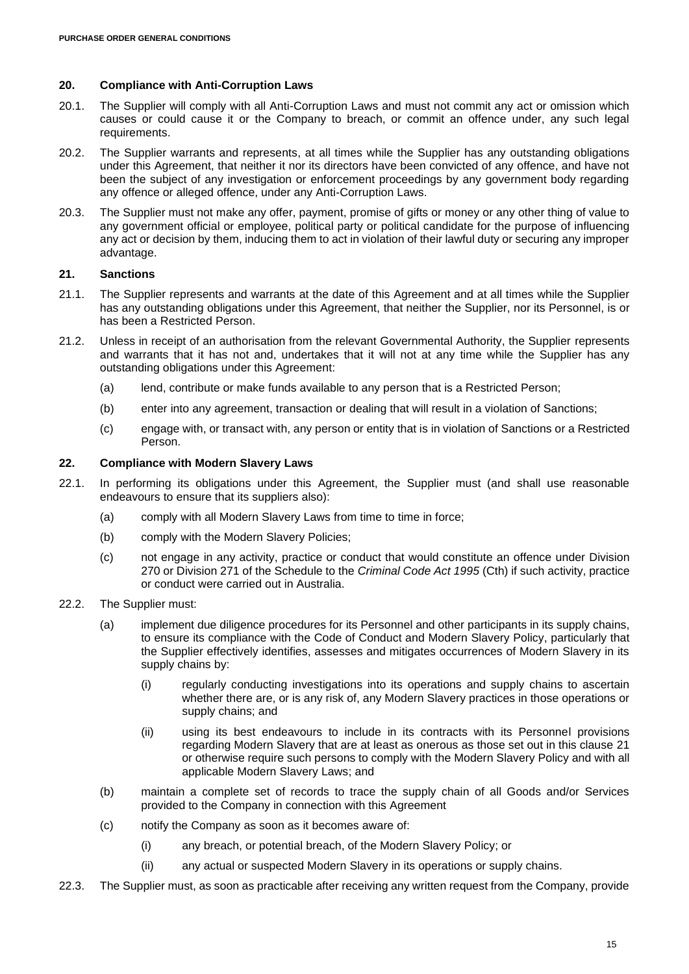### <span id="page-14-0"></span>**20. Compliance with Anti-Corruption Laws**

- 20.1. The Supplier will comply with all Anti-Corruption Laws and must not commit any act or omission which causes or could cause it or the Company to breach, or commit an offence under, any such legal requirements.
- 20.2. The Supplier warrants and represents, at all times while the Supplier has any outstanding obligations under this Agreement, that neither it nor its directors have been convicted of any offence, and have not been the subject of any investigation or enforcement proceedings by any government body regarding any offence or alleged offence, under any Anti-Corruption Laws.
- 20.3. The Supplier must not make any offer, payment, promise of gifts or money or any other thing of value to any government official or employee, political party or political candidate for the purpose of influencing any act or decision by them, inducing them to act in violation of their lawful duty or securing any improper advantage.

## <span id="page-14-1"></span>**21. Sanctions**

- 21.1. The Supplier represents and warrants at the date of this Agreement and at all times while the Supplier has any outstanding obligations under this Agreement, that neither the Supplier, nor its Personnel, is or has been a Restricted Person.
- 21.2. Unless in receipt of an authorisation from the relevant Governmental Authority, the Supplier represents and warrants that it has not and, undertakes that it will not at any time while the Supplier has any outstanding obligations under this Agreement:
	- (a) lend, contribute or make funds available to any person that is a Restricted Person;
	- (b) enter into any agreement, transaction or dealing that will result in a violation of Sanctions;
	- (c) engage with, or transact with, any person or entity that is in violation of Sanctions or a Restricted Person.

# **22. Compliance with Modern Slavery Laws**

- 22.1. In performing its obligations under this Agreement, the Supplier must (and shall use reasonable endeavours to ensure that its suppliers also):
	- (a) comply with all Modern Slavery Laws from time to time in force;
	- (b) comply with the Modern Slavery Policies;
	- (c) not engage in any activity, practice or conduct that would constitute an offence under Division 270 or Division 271 of the Schedule to the *Criminal Code Act 1995* (Cth) if such activity, practice or conduct were carried out in Australia.
- 22.2. The Supplier must:
	- (a) implement due diligence procedures for its Personnel and other participants in its supply chains, to ensure its compliance with the Code of Conduct and Modern Slavery Policy, particularly that the Supplier effectively identifies, assesses and mitigates occurrences of Modern Slavery in its supply chains by:
		- (i) regularly conducting investigations into its operations and supply chains to ascertain whether there are, or is any risk of, any Modern Slavery practices in those operations or supply chains; and
		- (ii) using its best endeavours to include in its contracts with its Personnel provisions regarding Modern Slavery that are at least as onerous as those set out in this clause [21](#page-14-1) or otherwise require such persons to comply with the Modern Slavery Policy and with all applicable Modern Slavery Laws; and
	- (b) maintain a complete set of records to trace the supply chain of all Goods and/or Services provided to the Company in connection with this Agreement
	- (c) notify the Company as soon as it becomes aware of:
		- (i) any breach, or potential breach, of the Modern Slavery Policy; or
		- (ii) any actual or suspected Modern Slavery in its operations or supply chains.
- <span id="page-14-2"></span>22.3. The Supplier must, as soon as practicable after receiving any written request from the Company, provide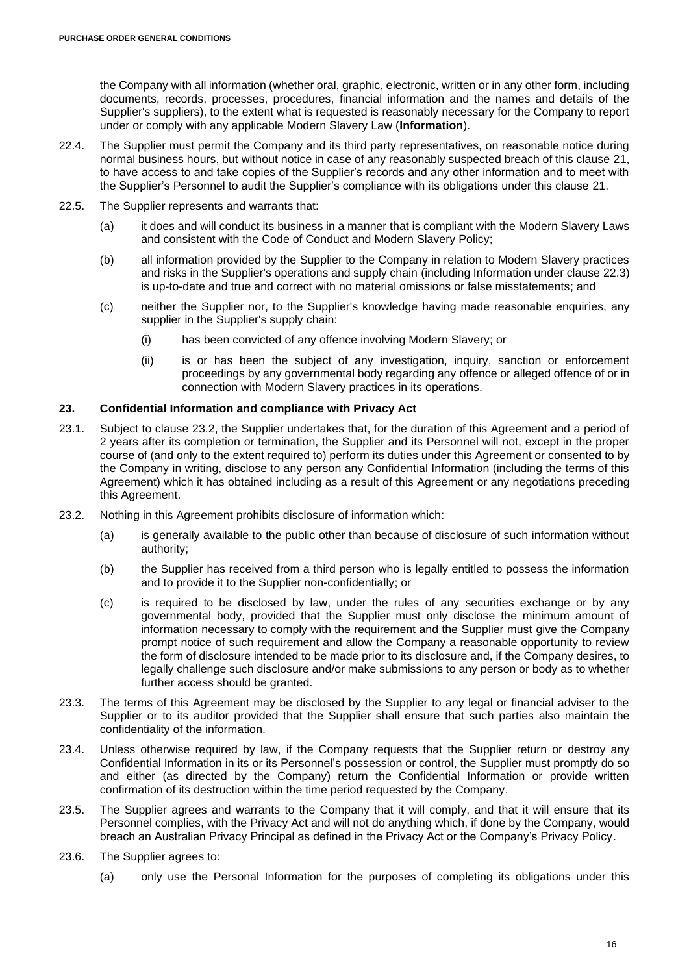the Company with all information (whether oral, graphic, electronic, written or in any other form, including documents, records, processes, procedures, financial information and the names and details of the Supplier's suppliers), to the extent what is requested is reasonably necessary for the Company to report under or comply with any applicable Modern Slavery Law (**Information**).

- 22.4. The Supplier must permit the Company and its third party representatives, on reasonable notice during normal business hours, but without notice in case of any reasonably suspected breach of this clause [21,](#page-14-1) to have access to and take copies of the Supplier's records and any other information and to meet with the Supplier's Personnel to audit the Supplier's compliance with its obligations under this clause [21.](#page-14-1)
- 22.5. The Supplier represents and warrants that:
	- (a) it does and will conduct its business in a manner that is compliant with the Modern Slavery Laws and consistent with the Code of Conduct and Modern Slavery Policy;
	- (b) all information provided by the Supplier to the Company in relation to Modern Slavery practices and risks in the Supplier's operations and supply chain (including Information under clause [22.3\)](#page-14-2) is up-to-date and true and correct with no material omissions or false misstatements; and
	- (c) neither the Supplier nor, to the Supplier's knowledge having made reasonable enquiries, any supplier in the Supplier's supply chain:
		- (i) has been convicted of any offence involving Modern Slavery; or
		- (ii) is or has been the subject of any investigation, inquiry, sanction or enforcement proceedings by any governmental body regarding any offence or alleged offence of or in connection with Modern Slavery practices in its operations.

# <span id="page-15-0"></span>**23. Confidential Information and compliance with Privacy Act**

- 23.1. Subject to clause [23.2,](#page-15-2) the Supplier undertakes that, for the duration of this Agreement and a period of 2 years after its completion or termination, the Supplier and its Personnel will not, except in the proper course of (and only to the extent required to) perform its duties under this Agreement or consented to by the Company in writing, disclose to any person any Confidential Information (including the terms of this Agreement) which it has obtained including as a result of this Agreement or any negotiations preceding this Agreement.
- <span id="page-15-2"></span>23.2. Nothing in this Agreement prohibits disclosure of information which:
	- (a) is generally available to the public other than because of disclosure of such information without authority;
	- (b) the Supplier has received from a third person who is legally entitled to possess the information and to provide it to the Supplier non-confidentially; or
	- (c) is required to be disclosed by law, under the rules of any securities exchange or by any governmental body, provided that the Supplier must only disclose the minimum amount of information necessary to comply with the requirement and the Supplier must give the Company prompt notice of such requirement and allow the Company a reasonable opportunity to review the form of disclosure intended to be made prior to its disclosure and, if the Company desires, to legally challenge such disclosure and/or make submissions to any person or body as to whether further access should be granted.
- 23.3. The terms of this Agreement may be disclosed by the Supplier to any legal or financial adviser to the Supplier or to its auditor provided that the Supplier shall ensure that such parties also maintain the confidentiality of the information.
- <span id="page-15-1"></span>23.4. Unless otherwise required by law, if the Company requests that the Supplier return or destroy any Confidential Information in its or its Personnel's possession or control, the Supplier must promptly do so and either (as directed by the Company) return the Confidential Information or provide written confirmation of its destruction within the time period requested by the Company.
- 23.5. The Supplier agrees and warrants to the Company that it will comply, and that it will ensure that its Personnel complies, with the Privacy Act and will not do anything which, if done by the Company, would breach an Australian Privacy Principal as defined in the Privacy Act or the Company's Privacy Policy.
- 23.6. The Supplier agrees to:
	- (a) only use the Personal Information for the purposes of completing its obligations under this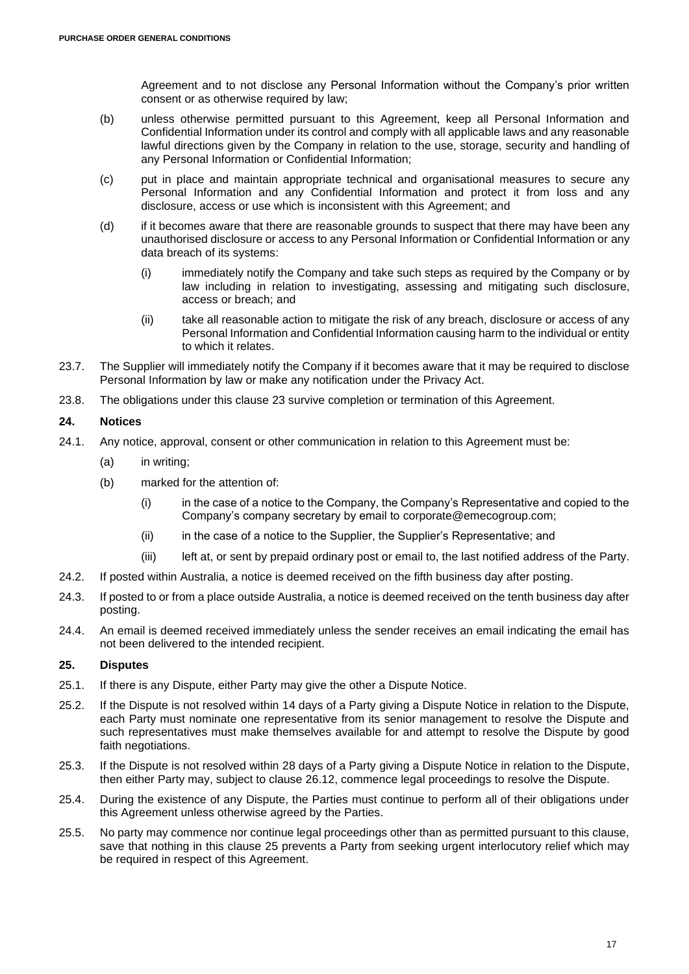Agreement and to not disclose any Personal Information without the Company's prior written consent or as otherwise required by law;

- (b) unless otherwise permitted pursuant to this Agreement, keep all Personal Information and Confidential Information under its control and comply with all applicable laws and any reasonable lawful directions given by the Company in relation to the use, storage, security and handling of any Personal Information or Confidential Information;
- (c) put in place and maintain appropriate technical and organisational measures to secure any Personal Information and any Confidential Information and protect it from loss and any disclosure, access or use which is inconsistent with this Agreement; and
- (d) if it becomes aware that there are reasonable grounds to suspect that there may have been any unauthorised disclosure or access to any Personal Information or Confidential Information or any data breach of its systems:
	- (i) immediately notify the Company and take such steps as required by the Company or by law including in relation to investigating, assessing and mitigating such disclosure, access or breach; and
	- (ii) take all reasonable action to mitigate the risk of any breach, disclosure or access of any Personal Information and Confidential Information causing harm to the individual or entity to which it relates.
- 23.7. The Supplier will immediately notify the Company if it becomes aware that it may be required to disclose Personal Information by law or make any notification under the Privacy Act.
- 23.8. The obligations under this clause [23](#page-15-0) survive completion or termination of this Agreement.

# **24. Notices**

- 24.1. Any notice, approval, consent or other communication in relation to this Agreement must be:
	- (a) in writing;
	- (b) marked for the attention of:
		- (i) in the case of a notice to the Company, the Company's Representative and copied to the Company's company secretary by email to [corporate@emecogroup.com;](mailto:corporate@emecogroup.com)
		- (ii) in the case of a notice to the Supplier, the Supplier's Representative; and
		- (iii) left at, or sent by prepaid ordinary post or email to, the last notified address of the Party.
- 24.2. If posted within Australia, a notice is deemed received on the fifth business day after posting.
- 24.3. If posted to or from a place outside Australia, a notice is deemed received on the tenth business day after posting.
- 24.4. An email is deemed received immediately unless the sender receives an email indicating the email has not been delivered to the intended recipient.

# <span id="page-16-0"></span>**25. Disputes**

- <span id="page-16-1"></span>25.1. If there is any Dispute, either Party may give the other a Dispute Notice.
- 25.2. If the Dispute is not resolved within 14 days of a Party giving a Dispute Notice in relation to the Dispute, each Party must nominate one representative from its senior management to resolve the Dispute and such representatives must make themselves available for and attempt to resolve the Dispute by good faith negotiations.
- 25.3. If the Dispute is not resolved within 28 days of a Party giving a Dispute Notice in relation to the Dispute, then either Party may, subject to clause [26.12,](#page-17-0) commence legal proceedings to resolve the Dispute.
- 25.4. During the existence of any Dispute, the Parties must continue to perform all of their obligations under this Agreement unless otherwise agreed by the Parties.
- 25.5. No party may commence nor continue legal proceedings other than as permitted pursuant to this clause, save that nothing in this clause [25](#page-16-0) prevents a Party from seeking urgent interlocutory relief which may be required in respect of this Agreement.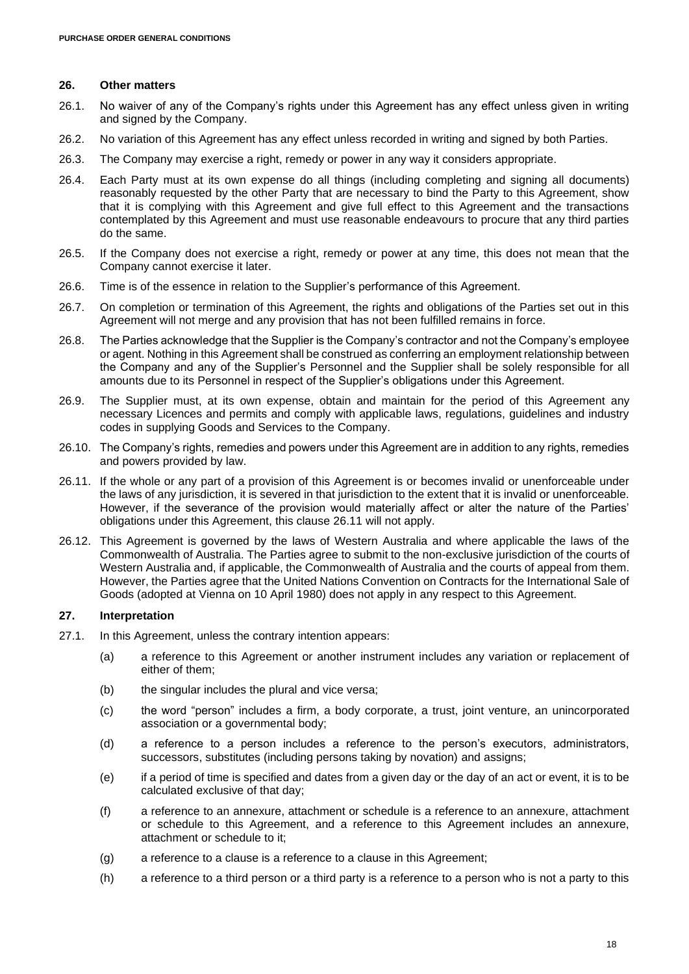#### **26. Other matters**

- 26.1. No waiver of any of the Company's rights under this Agreement has any effect unless given in writing and signed by the Company.
- 26.2. No variation of this Agreement has any effect unless recorded in writing and signed by both Parties.
- 26.3. The Company may exercise a right, remedy or power in any way it considers appropriate.
- 26.4. Each Party must at its own expense do all things (including completing and signing all documents) reasonably requested by the other Party that are necessary to bind the Party to this Agreement, show that it is complying with this Agreement and give full effect to this Agreement and the transactions contemplated by this Agreement and must use reasonable endeavours to procure that any third parties do the same.
- 26.5. If the Company does not exercise a right, remedy or power at any time, this does not mean that the Company cannot exercise it later.
- 26.6. Time is of the essence in relation to the Supplier's performance of this Agreement.
- 26.7. On completion or termination of this Agreement, the rights and obligations of the Parties set out in this Agreement will not merge and any provision that has not been fulfilled remains in force.
- 26.8. The Parties acknowledge that the Supplier is the Company's contractor and not the Company's employee or agent. Nothing in this Agreement shall be construed as conferring an employment relationship between the Company and any of the Supplier's Personnel and the Supplier shall be solely responsible for all amounts due to its Personnel in respect of the Supplier's obligations under this Agreement.
- 26.9. The Supplier must, at its own expense, obtain and maintain for the period of this Agreement any necessary Licences and permits and comply with applicable laws, regulations, guidelines and industry codes in supplying Goods and Services to the Company.
- 26.10. The Company's rights, remedies and powers under this Agreement are in addition to any rights, remedies and powers provided by law.
- <span id="page-17-1"></span>26.11. If the whole or any part of a provision of this Agreement is or becomes invalid or unenforceable under the laws of any jurisdiction, it is severed in that jurisdiction to the extent that it is invalid or unenforceable. However, if the severance of the provision would materially affect or alter the nature of the Parties' obligations under this Agreement, this clause [26.11](#page-17-1) will not apply.
- <span id="page-17-0"></span>26.12. This Agreement is governed by the laws of Western Australia and where applicable the laws of the Commonwealth of Australia. The Parties agree to submit to the non-exclusive jurisdiction of the courts of Western Australia and, if applicable, the Commonwealth of Australia and the courts of appeal from them. However, the Parties agree that the United Nations Convention on Contracts for the International Sale of Goods (adopted at Vienna on 10 April 1980) does not apply in any respect to this Agreement.

### **27. Interpretation**

- 27.1. In this Agreement, unless the contrary intention appears:
	- (a) a reference to this Agreement or another instrument includes any variation or replacement of either of them;
	- (b) the singular includes the plural and vice versa;
	- (c) the word "person" includes a firm, a body corporate, a trust, joint venture, an unincorporated association or a governmental body;
	- (d) a reference to a person includes a reference to the person's executors, administrators, successors, substitutes (including persons taking by novation) and assigns;
	- (e) if a period of time is specified and dates from a given day or the day of an act or event, it is to be calculated exclusive of that day;
	- (f) a reference to an annexure, attachment or schedule is a reference to an annexure, attachment or schedule to this Agreement, and a reference to this Agreement includes an annexure, attachment or schedule to it;
	- (g) a reference to a clause is a reference to a clause in this Agreement;
	- (h) a reference to a third person or a third party is a reference to a person who is not a party to this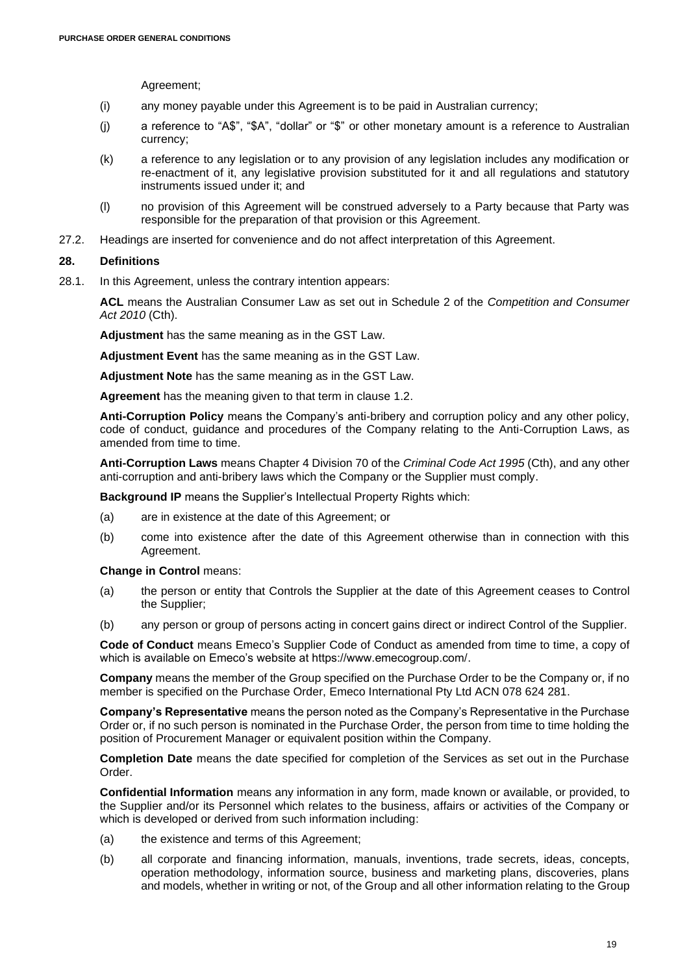Agreement;

- (i) any money payable under this Agreement is to be paid in Australian currency;
- (j) a reference to "A\$", "\$A", "dollar" or "\$" or other monetary amount is a reference to Australian currency;
- (k) a reference to any legislation or to any provision of any legislation includes any modification or re-enactment of it, any legislative provision substituted for it and all regulations and statutory instruments issued under it; and
- (l) no provision of this Agreement will be construed adversely to a Party because that Party was responsible for the preparation of that provision or this Agreement.
- 27.2. Headings are inserted for convenience and do not affect interpretation of this Agreement.

### **28. Definitions**

28.1. In this Agreement, unless the contrary intention appears:

**ACL** means the Australian Consumer Law as set out in Schedule 2 of the *Competition and Consumer Act 2010* (Cth).

**Adjustment** has the same meaning as in the GST Law.

**Adjustment Event** has the same meaning as in the GST Law.

**Adjustment Note** has the same meaning as in the GST Law.

**Agreement** has the meaning given to that term in clause [1.2.](#page-0-5)

**Anti-Corruption Policy** means the Company's anti-bribery and corruption policy and any other policy, code of conduct, guidance and procedures of the Company relating to the Anti-Corruption Laws, as amended from time to time.

**Anti-Corruption Laws** means Chapter 4 Division 70 of the *Criminal Code Act 1995* (Cth), and any other anti-corruption and anti-bribery laws which the Company or the Supplier must comply.

**Background IP** means the Supplier's Intellectual Property Rights which:

- (a) are in existence at the date of this Agreement; or
- (b) come into existence after the date of this Agreement otherwise than in connection with this Agreement.

**Change in Control** means:

- (a) the person or entity that Controls the Supplier at the date of this Agreement ceases to Control the Supplier;
- (b) any person or group of persons acting in concert gains direct or indirect Control of the Supplier.

**Code of Conduct** means Emeco's Supplier Code of Conduct as amended from time to time, a copy of which is available on Emeco's website at https://www.emecogroup.com/.

**Company** means the member of the Group specified on the Purchase Order to be the Company or, if no member is specified on the Purchase Order, Emeco International Pty Ltd ACN 078 624 281.

**Company's Representative** means the person noted as the Company's Representative in the Purchase Order or, if no such person is nominated in the Purchase Order, the person from time to time holding the position of Procurement Manager or equivalent position within the Company.

**Completion Date** means the date specified for completion of the Services as set out in the Purchase Order.

**Confidential Information** means any information in any form, made known or available, or provided, to the Supplier and/or its Personnel which relates to the business, affairs or activities of the Company or which is developed or derived from such information including:

- (a) the existence and terms of this Agreement;
- (b) all corporate and financing information, manuals, inventions, trade secrets, ideas, concepts, operation methodology, information source, business and marketing plans, discoveries, plans and models, whether in writing or not, of the Group and all other information relating to the Group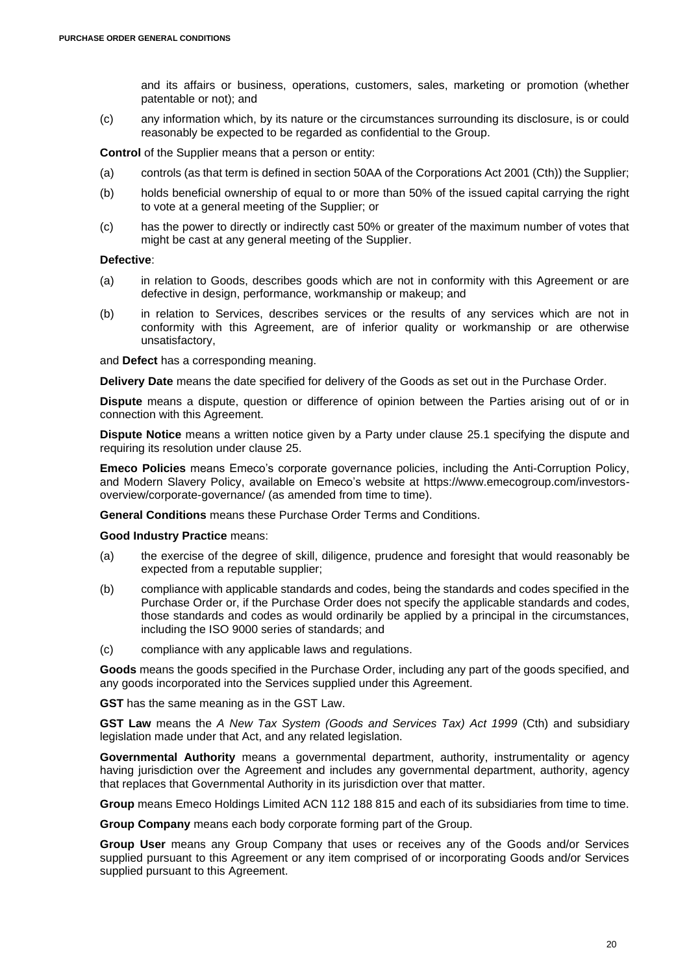and its affairs or business, operations, customers, sales, marketing or promotion (whether patentable or not); and

(c) any information which, by its nature or the circumstances surrounding its disclosure, is or could reasonably be expected to be regarded as confidential to the Group.

**Control** of the Supplier means that a person or entity:

- (a) controls (as that term is defined in section 50AA of the Corporations Act 2001 (Cth)) the Supplier;
- (b) holds beneficial ownership of equal to or more than 50% of the issued capital carrying the right to vote at a general meeting of the Supplier; or
- (c) has the power to directly or indirectly cast 50% or greater of the maximum number of votes that might be cast at any general meeting of the Supplier.

### **Defective**:

- (a) in relation to Goods, describes goods which are not in conformity with this Agreement or are defective in design, performance, workmanship or makeup; and
- (b) in relation to Services, describes services or the results of any services which are not in conformity with this Agreement, are of inferior quality or workmanship or are otherwise unsatisfactory,

and **Defect** has a corresponding meaning.

**Delivery Date** means the date specified for delivery of the Goods as set out in the Purchase Order.

**Dispute** means a dispute, question or difference of opinion between the Parties arising out of or in connection with this Agreement.

**Dispute Notice** means a written notice given by a Party under clause [25.1](#page-16-1) specifying the dispute and requiring its resolution under clause [25.](#page-16-0)

**Emeco Policies** means Emeco's corporate governance policies, including the Anti-Corruption Policy, and Modern Slavery Policy, available on Emeco's website at https://www.emecogroup.com/investorsoverview/corporate-governance/ (as amended from time to time).

**General Conditions** means these Purchase Order Terms and Conditions.

**Good Industry Practice** means:

- (a) the exercise of the degree of skill, diligence, prudence and foresight that would reasonably be expected from a reputable supplier;
- (b) compliance with applicable standards and codes, being the standards and codes specified in the Purchase Order or, if the Purchase Order does not specify the applicable standards and codes, those standards and codes as would ordinarily be applied by a principal in the circumstances, including the ISO 9000 series of standards; and
- (c) compliance with any applicable laws and regulations.

**Goods** means the goods specified in the Purchase Order, including any part of the goods specified, and any goods incorporated into the Services supplied under this Agreement.

**GST** has the same meaning as in the GST Law.

**GST Law** means the *A New Tax System (Goods and Services Tax) Act 1999* (Cth) and subsidiary legislation made under that Act, and any related legislation.

Governmental Authority means a governmental department, authority, instrumentality or agency having jurisdiction over the Agreement and includes any governmental department, authority, agency that replaces that Governmental Authority in its jurisdiction over that matter.

**Group** means Emeco Holdings Limited ACN 112 188 815 and each of its subsidiaries from time to time.

**Group Company** means each body corporate forming part of the Group.

**Group User** means any Group Company that uses or receives any of the Goods and/or Services supplied pursuant to this Agreement or any item comprised of or incorporating Goods and/or Services supplied pursuant to this Agreement.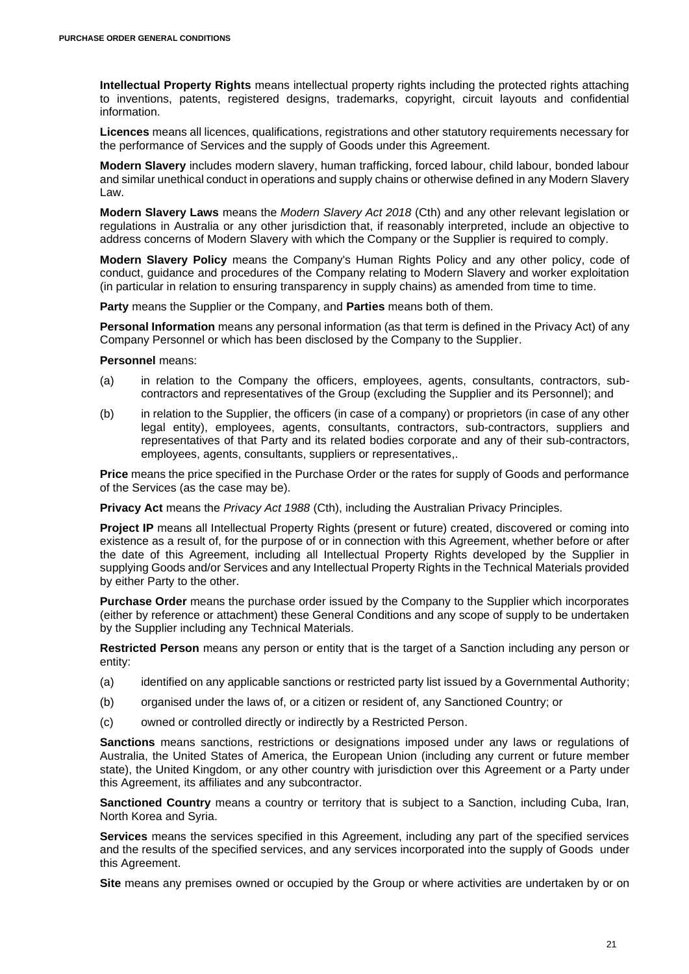**Intellectual Property Rights** means intellectual property rights including the protected rights attaching to inventions, patents, registered designs, trademarks, copyright, circuit layouts and confidential information.

**Licences** means all licences, qualifications, registrations and other statutory requirements necessary for the performance of Services and the supply of Goods under this Agreement.

**Modern Slavery** includes modern slavery, human trafficking, forced labour, child labour, bonded labour and similar unethical conduct in operations and supply chains or otherwise defined in any Modern Slavery Law.

**Modern Slavery Laws** means the *Modern Slavery Act 2018* (Cth) and any other relevant legislation or regulations in Australia or any other jurisdiction that, if reasonably interpreted, include an objective to address concerns of Modern Slavery with which the Company or the Supplier is required to comply.

**Modern Slavery Policy** means the Company's Human Rights Policy and any other policy, code of conduct, guidance and procedures of the Company relating to Modern Slavery and worker exploitation (in particular in relation to ensuring transparency in supply chains) as amended from time to time.

**Party** means the Supplier or the Company, and **Parties** means both of them.

**Personal Information** means any personal information (as that term is defined in the Privacy Act) of any Company Personnel or which has been disclosed by the Company to the Supplier.

#### **Personnel** means:

- (a) in relation to the Company the officers, employees, agents, consultants, contractors, subcontractors and representatives of the Group (excluding the Supplier and its Personnel); and
- (b) in relation to the Supplier, the officers (in case of a company) or proprietors (in case of any other legal entity), employees, agents, consultants, contractors, sub-contractors, suppliers and representatives of that Party and its related bodies corporate and any of their sub-contractors, employees, agents, consultants, suppliers or representatives,.

**Price** means the price specified in the Purchase Order or the rates for supply of Goods and performance of the Services (as the case may be).

**Privacy Act** means the *Privacy Act 1988* (Cth), including the Australian Privacy Principles.

**Project IP** means all Intellectual Property Rights (present or future) created, discovered or coming into existence as a result of, for the purpose of or in connection with this Agreement, whether before or after the date of this Agreement, including all Intellectual Property Rights developed by the Supplier in supplying Goods and/or Services and any Intellectual Property Rights in the Technical Materials provided by either Party to the other.

**Purchase Order** means the purchase order issued by the Company to the Supplier which incorporates (either by reference or attachment) these General Conditions and any scope of supply to be undertaken by the Supplier including any Technical Materials.

**Restricted Person** means any person or entity that is the target of a Sanction including any person or entity:

- (a) identified on any applicable sanctions or restricted party list issued by a Governmental Authority;
- (b) organised under the laws of, or a citizen or resident of, any Sanctioned Country; or
- (c) owned or controlled directly or indirectly by a Restricted Person.

**Sanctions** means sanctions, restrictions or designations imposed under any laws or regulations of Australia, the United States of America, the European Union (including any current or future member state), the United Kingdom, or any other country with jurisdiction over this Agreement or a Party under this Agreement, its affiliates and any subcontractor.

**Sanctioned Country** means a country or territory that is subject to a Sanction, including Cuba, Iran, North Korea and Syria.

**Services** means the services specified in this Agreement, including any part of the specified services and the results of the specified services, and any services incorporated into the supply of Goods under this Agreement.

**Site** means any premises owned or occupied by the Group or where activities are undertaken by or on